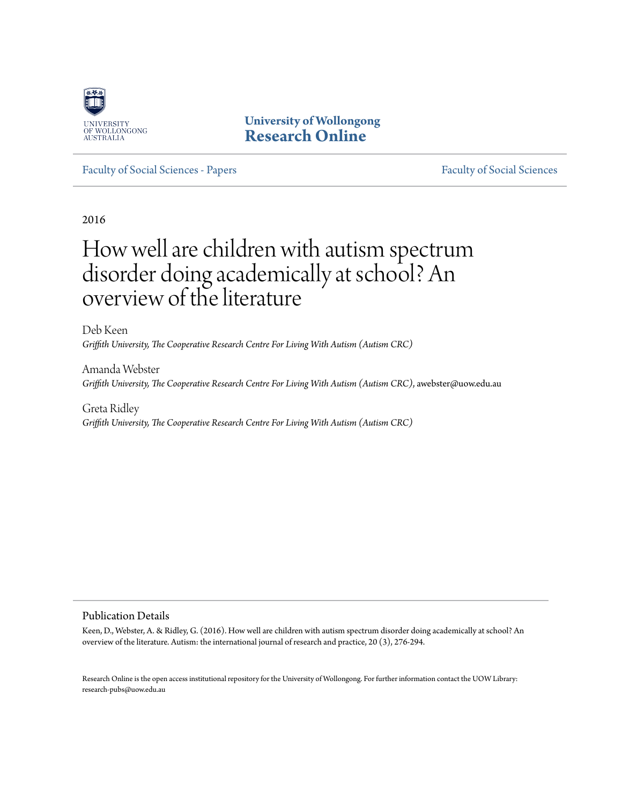

**University of Wollongong [Research Online](http://ro.uow.edu.au)**

[Faculty of Social Sciences - Papers](http://ro.uow.edu.au/sspapers) [Faculty of Social Sciences](http://ro.uow.edu.au/ss)

2016

# How well are children with autism spectrum disorder doing academically at school? An overview of the literature

Deb Keen *Griffith University, The Cooperative Research Centre For Living With Autism (Autism CRC)*

Amanda Webster *Griffith University, The Cooperative Research Centre For Living With Autism (Autism CRC)*, awebster@uow.edu.au

Greta Ridley *Griffith University, The Cooperative Research Centre For Living With Autism (Autism CRC)*

Publication Details

Keen, D., Webster, A. & Ridley, G. (2016). How well are children with autism spectrum disorder doing academically at school? An overview of the literature. Autism: the international journal of research and practice, 20 (3), 276-294.

Research Online is the open access institutional repository for the University of Wollongong. For further information contact the UOW Library: research-pubs@uow.edu.au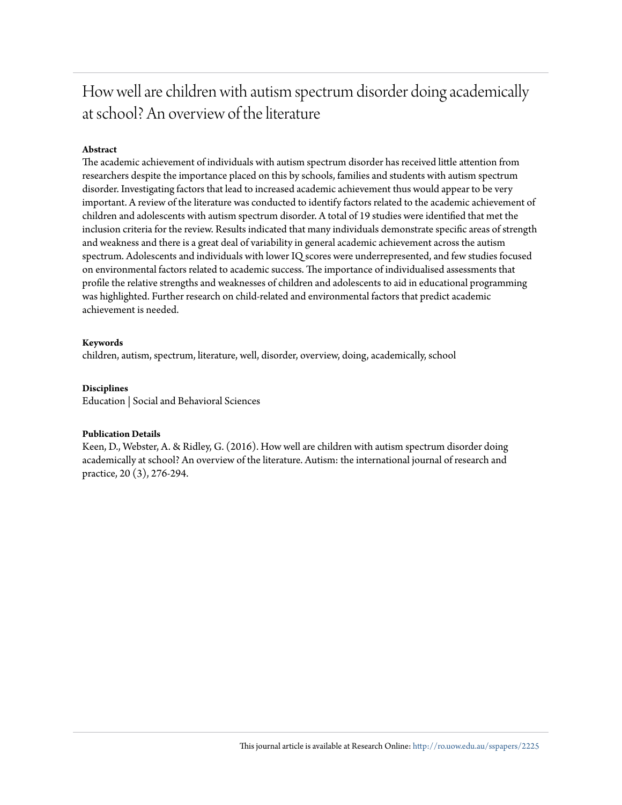## How well are children with autism spectrum disorder doing academically at school? An overview of the literature

## **Abstract**

The academic achievement of individuals with autism spectrum disorder has received little attention from researchers despite the importance placed on this by schools, families and students with autism spectrum disorder. Investigating factors that lead to increased academic achievement thus would appear to be very important. A review of the literature was conducted to identify factors related to the academic achievement of children and adolescents with autism spectrum disorder. A total of 19 studies were identified that met the inclusion criteria for the review. Results indicated that many individuals demonstrate specific areas of strength and weakness and there is a great deal of variability in general academic achievement across the autism spectrum. Adolescents and individuals with lower IQ scores were underrepresented, and few studies focused on environmental factors related to academic success. The importance of individualised assessments that profile the relative strengths and weaknesses of children and adolescents to aid in educational programming was highlighted. Further research on child-related and environmental factors that predict academic achievement is needed.

#### **Keywords**

children, autism, spectrum, literature, well, disorder, overview, doing, academically, school

#### **Disciplines**

Education | Social and Behavioral Sciences

#### **Publication Details**

Keen, D., Webster, A. & Ridley, G. (2016). How well are children with autism spectrum disorder doing academically at school? An overview of the literature. Autism: the international journal of research and practice, 20 (3), 276-294.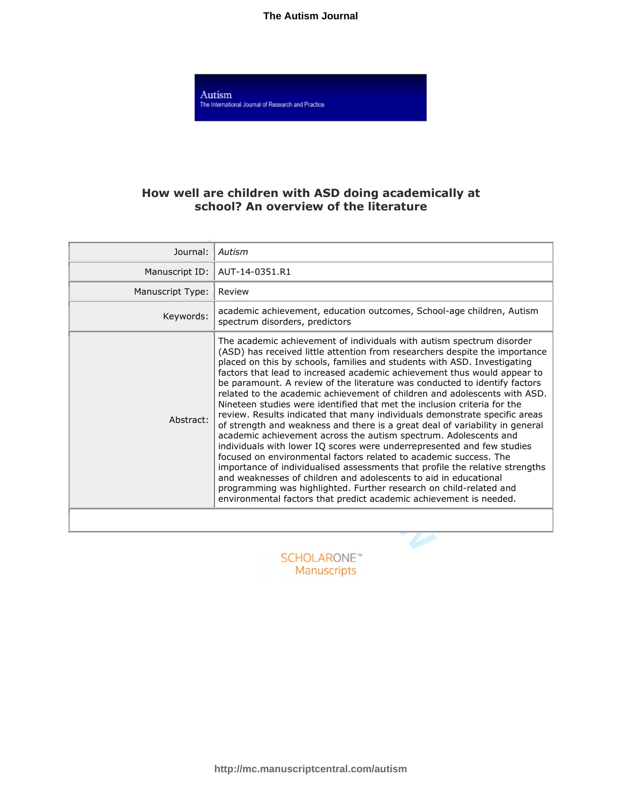**The Autism Journal**

Autism The International Journal of Research and Practice

## **How well are children with ASD doing academically at school? An overview of the literature**

| Journal:         | Autism                                                                                                                                                                                                                                                                                                                                                                                                                                                                                                                                                                                                                                                                                                                                                                                                                                                                                                                                                                                                                                                                                                                                                                                                                               |
|------------------|--------------------------------------------------------------------------------------------------------------------------------------------------------------------------------------------------------------------------------------------------------------------------------------------------------------------------------------------------------------------------------------------------------------------------------------------------------------------------------------------------------------------------------------------------------------------------------------------------------------------------------------------------------------------------------------------------------------------------------------------------------------------------------------------------------------------------------------------------------------------------------------------------------------------------------------------------------------------------------------------------------------------------------------------------------------------------------------------------------------------------------------------------------------------------------------------------------------------------------------|
| Manuscript ID:   | AUT-14-0351.R1                                                                                                                                                                                                                                                                                                                                                                                                                                                                                                                                                                                                                                                                                                                                                                                                                                                                                                                                                                                                                                                                                                                                                                                                                       |
| Manuscript Type: | Review                                                                                                                                                                                                                                                                                                                                                                                                                                                                                                                                                                                                                                                                                                                                                                                                                                                                                                                                                                                                                                                                                                                                                                                                                               |
| Keywords:        | academic achievement, education outcomes, School-age children, Autism<br>spectrum disorders, predictors                                                                                                                                                                                                                                                                                                                                                                                                                                                                                                                                                                                                                                                                                                                                                                                                                                                                                                                                                                                                                                                                                                                              |
| Abstract:        | The academic achievement of individuals with autism spectrum disorder<br>(ASD) has received little attention from researchers despite the importance<br>placed on this by schools, families and students with ASD. Investigating<br>factors that lead to increased academic achievement thus would appear to<br>be paramount. A review of the literature was conducted to identify factors<br>related to the academic achievement of children and adolescents with ASD.<br>Nineteen studies were identified that met the inclusion criteria for the<br>review. Results indicated that many individuals demonstrate specific areas<br>of strength and weakness and there is a great deal of variability in general<br>academic achievement across the autism spectrum. Adolescents and<br>individuals with lower IQ scores were underrepresented and few studies<br>focused on environmental factors related to academic success. The<br>importance of individualised assessments that profile the relative strengths<br>and weaknesses of children and adolescents to aid in educational<br>programming was highlighted. Further research on child-related and<br>environmental factors that predict academic achievement is needed. |
|                  |                                                                                                                                                                                                                                                                                                                                                                                                                                                                                                                                                                                                                                                                                                                                                                                                                                                                                                                                                                                                                                                                                                                                                                                                                                      |
|                  | ---------                                                                                                                                                                                                                                                                                                                                                                                                                                                                                                                                                                                                                                                                                                                                                                                                                                                                                                                                                                                                                                                                                                                                                                                                                            |

Manuscripts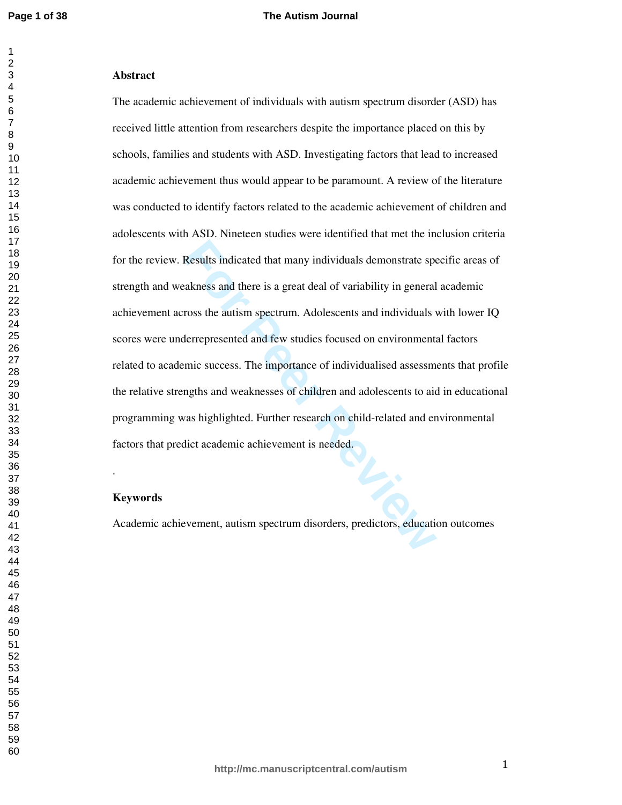## **Abstract**

**Results indicated that many individuals demonstrate speakness and there is a great deal of variability in general ross the autism spectrum. Adolescents and individuals verter<br>prepresented and few studies focused on enviro** The academic achievement of individuals with autism spectrum disorder (ASD) has received little attention from researchers despite the importance placed on this by schools, families and students with ASD. Investigating factors that lead to increased academic achievement thus would appear to be paramount. A review of the literature was conducted to identify factors related to the academic achievement of children and adolescents with ASD. Nineteen studies were identified that met the inclusion criteria for the review. Results indicated that many individuals demonstrate specific areas of strength and weakness and there is a great deal of variability in general academic achievement across the autism spectrum. Adolescents and individuals with lower IQ scores were underrepresented and few studies focused on environmental factors related to academic success. The importance of individualised assessments that profile the relative strengths and weaknesses of children and adolescents to aid in educational programming was highlighted. Further research on child-related and environmental factors that predict academic achievement is needed.

## **Keywords**

.

Academic achievement, autism spectrum disorders, predictors, education outcomes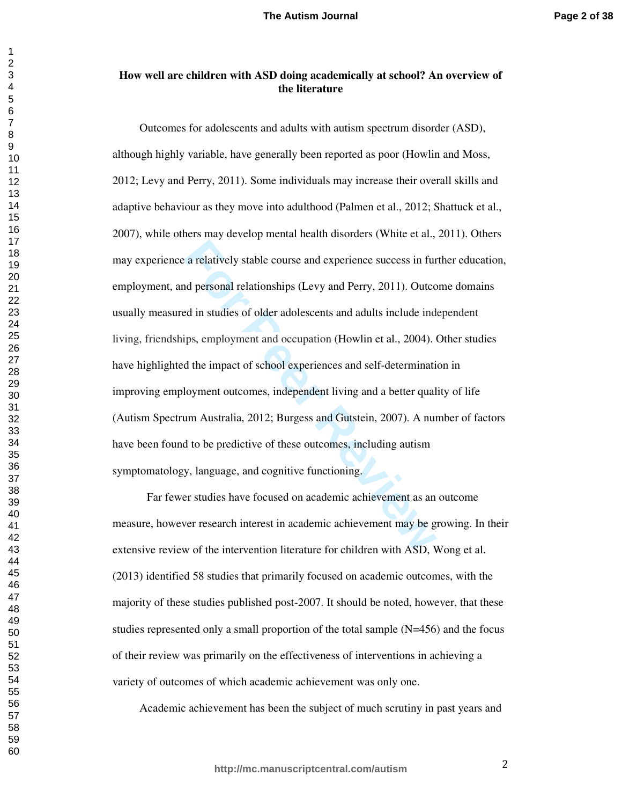## **How well are children with ASD doing academically at school? An overview of the literature**

a relatively stable course and experience success in furty.<br>
In depersional relationships (Levy and Perry, 2011). Outco<br>
Individual in studies of older adolescents and adults include ind<br>
In studies of older adolescents an Outcomes for adolescents and adults with autism spectrum disorder (ASD), although highly variable, have generally been reported as poor (Howlin and Moss, 2012; Levy and Perry, 2011). Some individuals may increase their overall skills and adaptive behaviour as they move into adulthood (Palmen et al., 2012; Shattuck et al., 2007), while others may develop mental health disorders (White et al., 2011). Others may experience a relatively stable course and experience success in further education, employment, and personal relationships (Levy and Perry, 2011). Outcome domains usually measured in studies of older adolescents and adults include independent living, friendships, employment and occupation (Howlin et al., 2004). Other studies have highlighted the impact of school experiences and self-determination in improving employment outcomes, independent living and a better quality of life (Autism Spectrum Australia, 2012; Burgess and Gutstein, 2007). A number of factors have been found to be predictive of these outcomes, including autism symptomatology, language, and cognitive functioning.

Far fewer studies have focused on academic achievement as an outcome measure, however research interest in academic achievement may be growing. In their extensive review of the intervention literature for children with ASD, Wong et al. (2013) identified 58 studies that primarily focused on academic outcomes, with the majority of these studies published post-2007. It should be noted, however, that these studies represented only a small proportion of the total sample (N=456) and the focus of their review was primarily on the effectiveness of interventions in achieving a variety of outcomes of which academic achievement was only one.

Academic achievement has been the subject of much scrutiny in past years and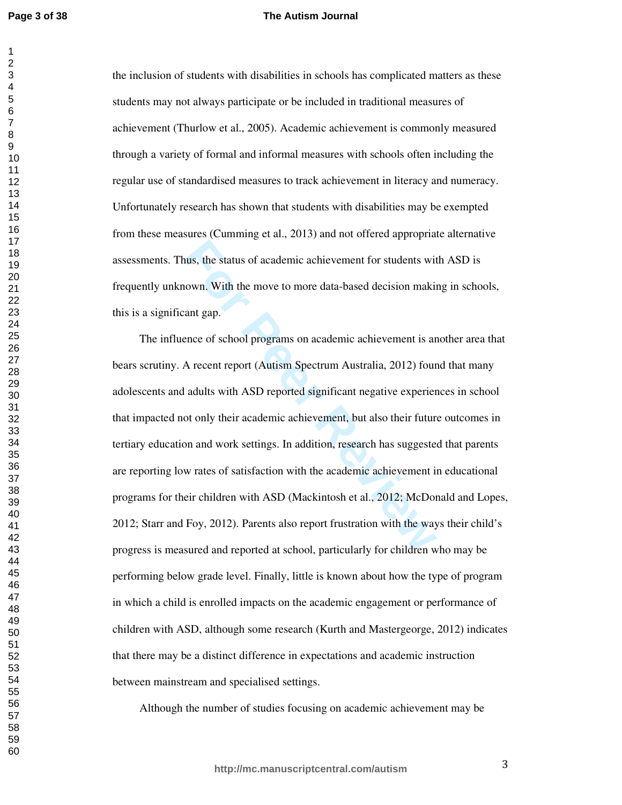$\mathbf{1}$ 

## **The Autism Journal**

the inclusion of students with disabilities in schools has complicated matters as these students may not always participate or be included in traditional measures of achievement (Thurlow et al., 2005). Academic achievement is commonly measured through a variety of formal and informal measures with schools often including the regular use of standardised measures to track achievement in literacy and numeracy. Unfortunately research has shown that students with disabilities may be exempted from these measures (Cumming et al., 2013) and not offered appropriate alternative assessments. Thus, the status of academic achievement for students with ASD is frequently unknown. With the move to more data-based decision making in schools, this is a significant gap.

**Follow EV and SET AT SET AT A TERN AT SET A TERN AT SET A THEORY ONE . With the move to more data-based decision making and gap.**<br> **For Peer Review Peer Review A** and gap.<br> **For Peer Review A For Peer Review A A Fecent re**  The influence of school programs on academic achievement is another area that bears scrutiny. A recent report (Autism Spectrum Australia, 2012) found that many adolescents and adults with ASD reported significant negative experiences in school that impacted not only their academic achievement, but also their future outcomes in tertiary education and work settings. In addition, research has suggested that parents are reporting low rates of satisfaction with the academic achievement in educational programs for their children with ASD (Mackintosh et al., 2012; McDonald and Lopes, 2012; Starr and Foy, 2012). Parents also report frustration with the ways their child's progress is measured and reported at school, particularly for children who may be performing below grade level. Finally, little is known about how the type of program in which a child is enrolled impacts on the academic engagement or performance of children with ASD, although some research (Kurth and Mastergeorge, 2012) indicates that there may be a distinct difference in expectations and academic instruction between mainstream and specialised settings.

Although the number of studies focusing on academic achievement may be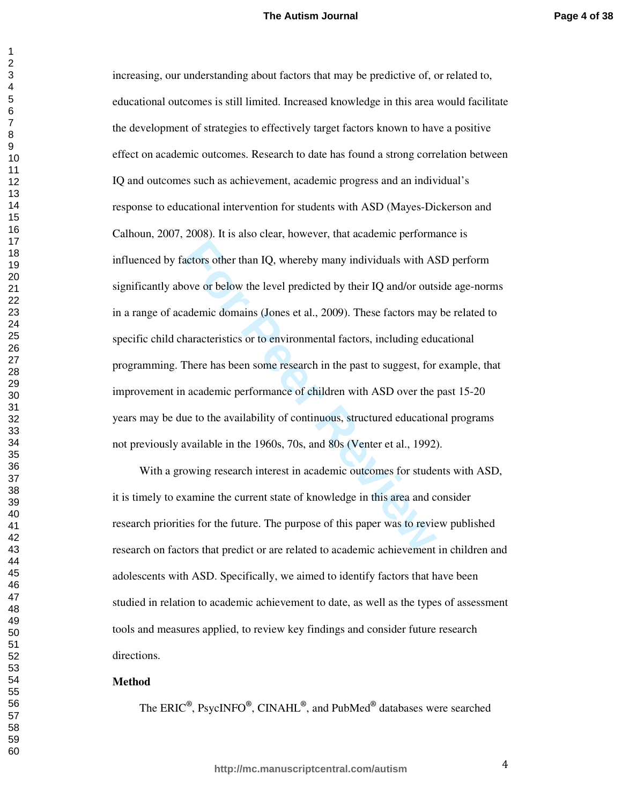## **The Autism Journal**

actors other than IQ, whereby many individuals with AS<br>ove or below the level predicted by their IQ and/or outs<br>ademic domains (Jones et al., 2009). These factors may<br>haracteristics or to environmental factors, including e increasing, our understanding about factors that may be predictive of, or related to, educational outcomes is still limited. Increased knowledge in this area would facilitate the development of strategies to effectively target factors known to have a positive effect on academic outcomes. Research to date has found a strong correlation between IQ and outcomes such as achievement, academic progress and an individual's response to educational intervention for students with ASD (Mayes-Dickerson and Calhoun, 2007, 2008). It is also clear, however, that academic performance is influenced by factors other than IQ, whereby many individuals with ASD perform significantly above or below the level predicted by their IQ and/or outside age-norms in a range of academic domains (Jones et al., 2009). These factors may be related to specific child characteristics or to environmental factors, including educational programming. There has been some research in the past to suggest, for example, that improvement in academic performance of children with ASD over the past 15-20 years may be due to the availability of continuous, structured educational programs not previously available in the 1960s, 70s, and 80s (Venter et al., 1992).

 With a growing research interest in academic outcomes for students with ASD, it is timely to examine the current state of knowledge in this area and consider research priorities for the future. The purpose of this paper was to review published research on factors that predict or are related to academic achievement in children and adolescents with ASD. Specifically, we aimed to identify factors that have been studied in relation to academic achievement to date, as well as the types of assessment tools and measures applied, to review key findings and consider future research directions.

## **Method**

The ERIC **®** , PsycINFO **®** , CINAHL **®** , and PubMed **®** databases were searched

 $\mathbf{1}$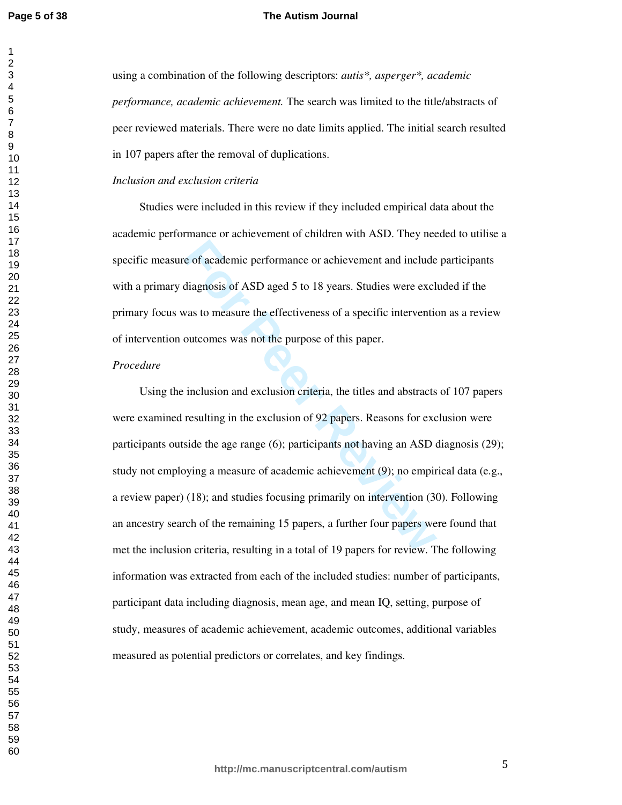## **The Autism Journal**

using a combination of the following descriptors: *autis\*, asperger\*, academic performance, academic achievement.* The search was limited to the title/abstracts of peer reviewed materials. There were no date limits applied. The initial search resulted in 107 papers after the removal of duplications.

## *Inclusion and exclusion criteria*

 Studies were included in this review if they included empirical data about the academic performance or achievement of children with ASD. They needed to utilise a specific measure of academic performance or achievement and include participants with a primary diagnosis of ASD aged 5 to 18 years. Studies were excluded if the primary focus was to measure the effectiveness of a specific intervention as a review of intervention outcomes was not the purpose of this paper.

Exercise of academic performance or achievement and include<br>diagnosis of ASD aged 5 to 18 years. Studies were excl<br>vas to measure the effectiveness of a specific interventic<br>outcomes was not the purpose of this paper.<br>incl Using the inclusion and exclusion criteria, the titles and abstracts of 107 papers were examined resulting in the exclusion of 92 papers. Reasons for exclusion were participants outside the age range (6); participants not having an ASD diagnosis (29); study not employing a measure of academic achievement (9); no empirical data (e.g., a review paper) (18); and studies focusing primarily on intervention (30). Following an ancestry search of the remaining 15 papers, a further four papers were found that met the inclusion criteria, resulting in a total of 19 papers for review. The following information was extracted from each of the included studies: number of participants, participant data including diagnosis, mean age, and mean IQ, setting, purpose of study, measures of academic achievement, academic outcomes, additional variables measured as potential predictors or correlates, and key findings.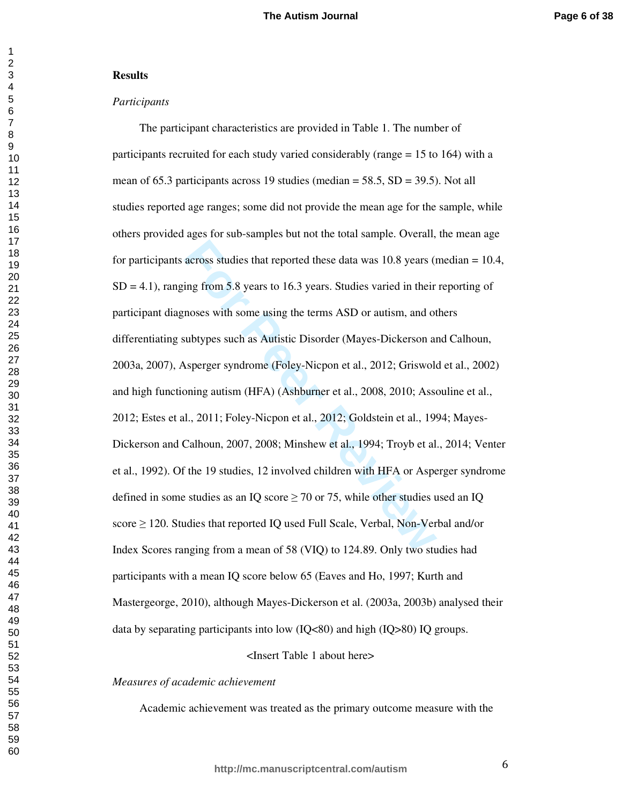#### **Results**

## *Participants*

across studies that reported these data was 10.8 years (<br>ing from 5.8 years to 16.3 years. Studies varied in their<br>noses with some using the terms ASD or autism, and ot<br>subtypes such as Autistic Disorder (Mayes-Dickerson The participant characteristics are provided in Table 1. The number of participants recruited for each study varied considerably (range = 15 to 164) with a mean of 65.3 participants across 19 studies (median = 58.5, SD = 39.5). Not all studies reported age ranges; some did not provide the mean age for the sample, while others provided ages for sub-samples but not the total sample. Overall, the mean age for participants across studies that reported these data was  $10.8$  years (median =  $10.4$ ,  $SD = 4.1$ , ranging from 5.8 years to 16.3 years. Studies varied in their reporting of participant diagnoses with some using the terms ASD or autism, and others differentiating subtypes such as Autistic Disorder (Mayes-Dickerson and Calhoun, 2003a, 2007), Asperger syndrome (Foley-Nicpon et al., 2012; Griswold et al., 2002) and high functioning autism (HFA) (Ashburner et al., 2008, 2010; Assouline et al., 2012; Estes et al., 2011; Foley-Nicpon et al., 2012; Goldstein et al., 1994; Mayes-Dickerson and Calhoun, 2007, 2008; Minshew et al., 1994; Troyb et al., 2014; Venter et al., 1992). Of the 19 studies, 12 involved children with HFA or Asperger syndrome defined in some studies as an IQ score  $\geq$  70 or 75, while other studies used an IQ score ≥ 120. Studies that reported IQ used Full Scale, Verbal, Non-Verbal and/or Index Scores ranging from a mean of 58 (VIQ) to 124.89. Only two studies had participants with a mean IQ score below 65 (Eaves and Ho, 1997; Kurth and Mastergeorge, 2010), although Mayes-Dickerson et al. (2003a, 2003b) analysed their data by separating participants into low (IQ<80) and high (IQ>80) IQ groups.

## <Insert Table 1 about here>

## *Measures of academic achievement*

Academic achievement was treated as the primary outcome measure with the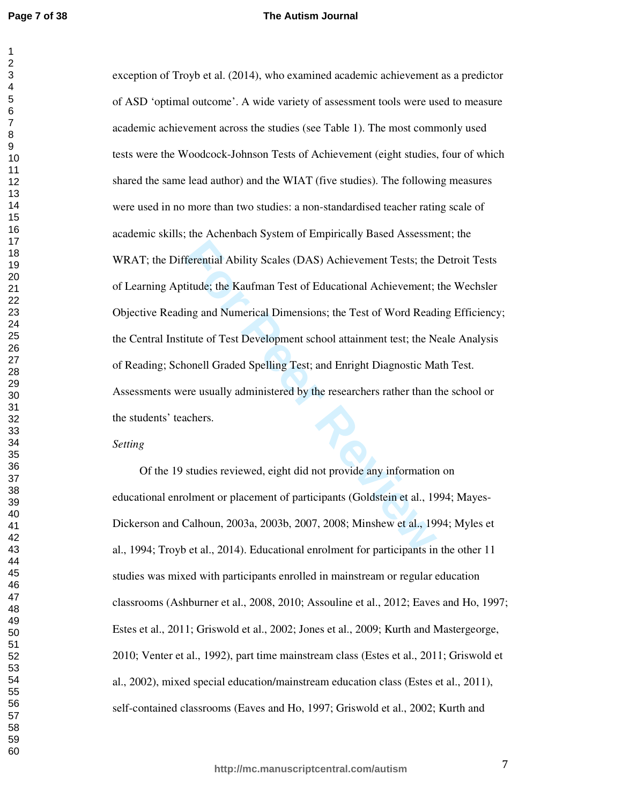$\mathbf{1}$ 

## **The Autism Journal**

Ferential Ability Scales (DAS) Achievement Tests; the<br>titude; the Kaufman Test of Educational Achievement;<br>ing and Numerical Dimensions; the Test of Word Read<br>itute of Test Development school attainment test; the N<br>ionell exception of Troyb et al. (2014), who examined academic achievement as a predictor of ASD 'optimal outcome'. A wide variety of assessment tools were used to measure academic achievement across the studies (see Table 1). The most commonly used tests were the Woodcock-Johnson Tests of Achievement (eight studies, four of which shared the same lead author) and the WIAT (five studies). The following measures were used in no more than two studies: a non-standardised teacher rating scale of academic skills; the Achenbach System of Empirically Based Assessment; the WRAT; the Differential Ability Scales (DAS) Achievement Tests; the Detroit Tests of Learning Aptitude; the Kaufman Test of Educational Achievement; the Wechsler Objective Reading and Numerical Dimensions; the Test of Word Reading Efficiency; the Central Institute of Test Development school attainment test; the Neale Analysis of Reading; Schonell Graded Spelling Test; and Enright Diagnostic Math Test. Assessments were usually administered by the researchers rather than the school or the students' teachers.

#### *Setting*

 Of the 19 studies reviewed, eight did not provide any information on educational enrolment or placement of participants (Goldstein et al., 1994; Mayes-Dickerson and Calhoun, 2003a, 2003b, 2007, 2008; Minshew et al., 1994; Myles et al., 1994; Troyb et al., 2014). Educational enrolment for participants in the other 11 studies was mixed with participants enrolled in mainstream or regular education classrooms (Ashburner et al., 2008, 2010; Assouline et al., 2012; Eaves and Ho, 1997; Estes et al., 2011; Griswold et al., 2002; Jones et al., 2009; Kurth and Mastergeorge, 2010; Venter et al., 1992), part time mainstream class (Estes et al., 2011; Griswold et al., 2002), mixed special education/mainstream education class (Estes et al., 2011), self-contained classrooms (Eaves and Ho, 1997; Griswold et al., 2002; Kurth and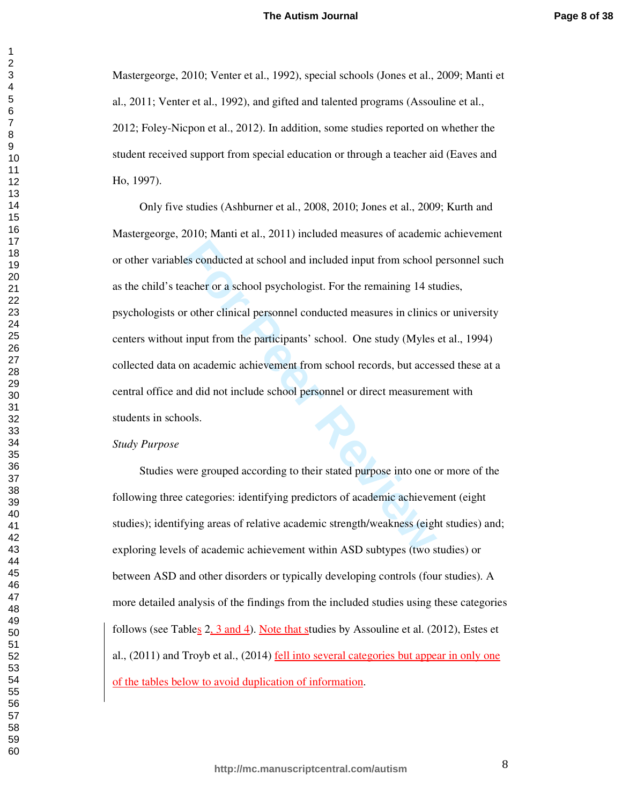Mastergeorge, 2010; Venter et al., 1992), special schools (Jones et al., 2009; Manti et al., 2011; Venter et al., 1992), and gifted and talented programs (Assouline et al., 2012; Foley-Nicpon et al., 2012). In addition, some studies reported on whether the student received support from special education or through a teacher aid (Eaves and Ho, 1997).

es conducted at school and included input from school p<br>acher or a school psychologist. For the remaining 14 st<br>r other clinical personnel conducted measures in clinics<br>input from the participants' school. One study (Myles Only five studies (Ashburner et al., 2008, 2010; Jones et al., 2009; Kurth and Mastergeorge, 2010; Manti et al., 2011) included measures of academic achievement or other variables conducted at school and included input from school personnel such as the child's teacher or a school psychologist. For the remaining 14 studies, psychologists or other clinical personnel conducted measures in clinics or university centers without input from the participants' school. One study (Myles et al., 1994) collected data on academic achievement from school records, but accessed these at a central office and did not include school personnel or direct measurement with students in schools.

#### *Study Purpose*

 Studies were grouped according to their stated purpose into one or more of the following three categories: identifying predictors of academic achievement (eight studies); identifying areas of relative academic strength/weakness (eight studies) and; exploring levels of academic achievement within ASD subtypes (two studies) or between ASD and other disorders or typically developing controls (four studies). A more detailed analysis of the findings from the included studies using these categories follows (see Tables 2, 3 and 4). Note that studies by Assouline et al. (2012), Estes et al., (2011) and Troyb et al., (2014) fell into several categories but appear in only one of the tables below to avoid duplication of information.

 $\mathbf{1}$  $\overline{2}$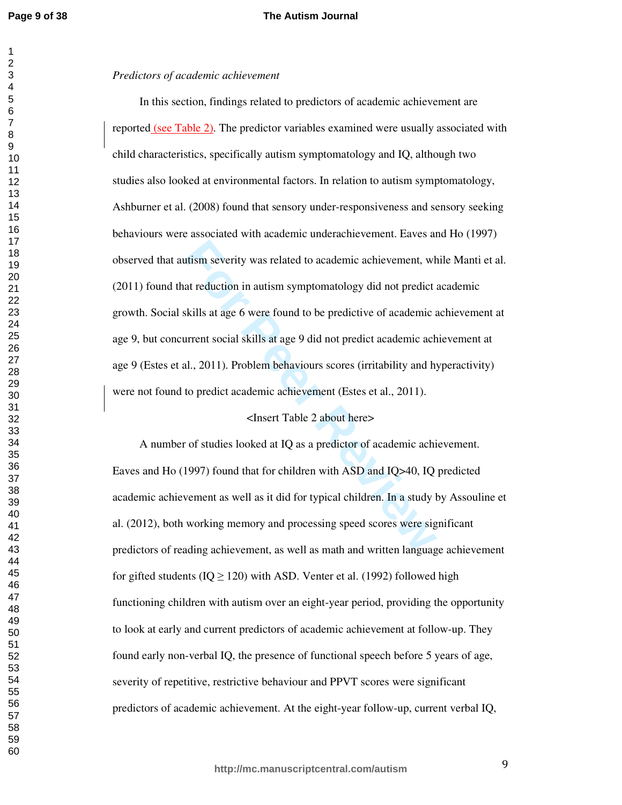#### **The Autism Journal**

#### *Predictors of academic achievement*

atism severity was related to academic achievement, where the attent reduction in autism symptomatology did not predict as<br>skills at age 6 were found to be predictive of academic ach<br>skills at age 6 were found to be predic In this section, findings related to predictors of academic achievement are reported (see Table 2). The predictor variables examined were usually associated with child characteristics, specifically autism symptomatology and IQ, although two studies also looked at environmental factors. In relation to autism symptomatology, Ashburner et al. (2008) found that sensory under-responsiveness and sensory seeking behaviours were associated with academic underachievement. Eaves and Ho (1997) observed that autism severity was related to academic achievement, while Manti et al. (2011) found that reduction in autism symptomatology did not predict academic growth. Social skills at age 6 were found to be predictive of academic achievement at age 9, but concurrent social skills at age 9 did not predict academic achievement at age 9 (Estes et al., 2011). Problem behaviours scores (irritability and hyperactivity) were not found to predict academic achievement (Estes et al., 2011).

## <Insert Table 2 about here>

 A number of studies looked at IQ as a predictor of academic achievement. Eaves and Ho (1997) found that for children with ASD and IQ>40, IQ predicted academic achievement as well as it did for typical children. In a study by Assouline et al. (2012), both working memory and processing speed scores were significant predictors of reading achievement, as well as math and written language achievement for gifted students ( $IQ \geq 120$ ) with ASD. Venter et al. (1992) followed high functioning children with autism over an eight-year period, providing the opportunity to look at early and current predictors of academic achievement at follow-up. They found early non-verbal IQ, the presence of functional speech before 5 years of age, severity of repetitive, restrictive behaviour and PPVT scores were significant predictors of academic achievement. At the eight-year follow-up, current verbal IQ,

**http://mc.manuscriptcentral.com/autism**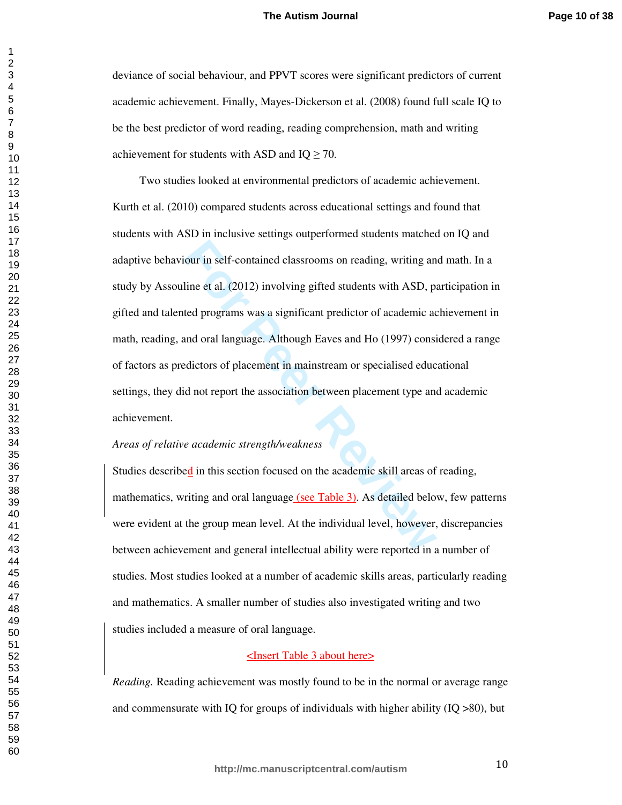deviance of social behaviour, and PPVT scores were significant predictors of current academic achievement. Finally, Mayes-Dickerson et al. (2008) found full scale IQ to be the best predictor of word reading, reading comprehension, math and writing achievement for students with ASD and  $IQ \ge 70$ .

our in self-contained classrooms on reading, writing an<br>line et al. (2012) involving gifted students with ASD, pa<br>ted programs was a significant predictor of academic ac<br>and oral language. Although Eaves and Ho (1997) cons Two studies looked at environmental predictors of academic achievement. Kurth et al. (2010) compared students across educational settings and found that students with ASD in inclusive settings outperformed students matched on IQ and adaptive behaviour in self-contained classrooms on reading, writing and math. In a study by Assouline et al. (2012) involving gifted students with ASD, participation in gifted and talented programs was a significant predictor of academic achievement in math, reading, and oral language. Although Eaves and Ho (1997) considered a range of factors as predictors of placement in mainstream or specialised educational settings, they did not report the association between placement type and academic achievement.

## *Areas of relative academic strength/weakness*

Studies described in this section focused on the academic skill areas of reading, mathematics, writing and oral language (see Table 3). As detailed below, few patterns were evident at the group mean level. At the individual level, however, discrepancies between achievement and general intellectual ability were reported in a number of studies. Most studies looked at a number of academic skills areas, particularly reading and mathematics. A smaller number of studies also investigated writing and two studies included a measure of oral language.

## <Insert Table 3 about here>

*Reading.* Reading achievement was mostly found to be in the normal or average range and commensurate with IQ for groups of individuals with higher ability (IQ >80), but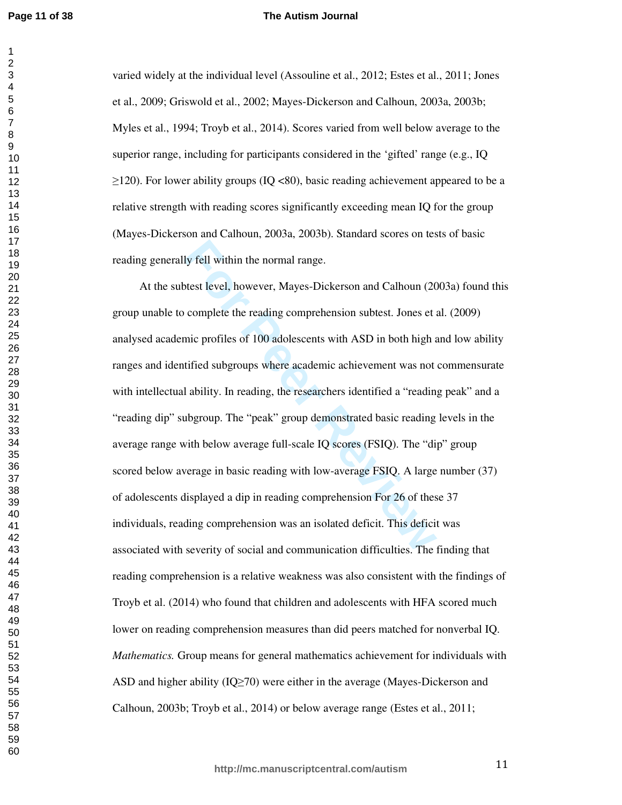## **The Autism Journal**

varied widely at the individual level (Assouline et al., 2012; Estes et al., 2011; Jones et al., 2009; Griswold et al., 2002; Mayes-Dickerson and Calhoun, 2003a, 2003b; Myles et al., 1994; Troyb et al., 2014). Scores varied from well below average to the superior range, including for participants considered in the 'gifted' range (e.g., IQ  $\geq$ 120). For lower ability groups (IQ <80), basic reading achievement appeared to be a relative strength with reading scores significantly exceeding mean IQ for the group (Mayes-Dickerson and Calhoun, 2003a, 2003b). Standard scores on tests of basic reading generally fell within the normal range.

ly fell within the normal range.<br>
stest level, however, Mayes-Dickerson and Calhoun (20<br>
complete the reading comprehension subtest. Jones et a<br>
inic profiles of 100 adolescents with ASD in both high a<br>
tified subgroups wh At the subtest level, however, Mayes-Dickerson and Calhoun (2003a) found this group unable to complete the reading comprehension subtest. Jones et al. (2009) analysed academic profiles of 100 adolescents with ASD in both high and low ability ranges and identified subgroups where academic achievement was not commensurate with intellectual ability. In reading, the researchers identified a "reading peak" and a "reading dip" subgroup. The "peak" group demonstrated basic reading levels in the average range with below average full-scale IQ scores (FSIQ). The "dip" group scored below average in basic reading with low-average FSIQ. A large number (37) of adolescents displayed a dip in reading comprehension For 26 of these 37 individuals, reading comprehension was an isolated deficit. This deficit was associated with severity of social and communication difficulties. The finding that reading comprehension is a relative weakness was also consistent with the findings of Troyb et al. (2014) who found that children and adolescents with HFA scored much lower on reading comprehension measures than did peers matched for nonverbal IQ. *Mathematics.* Group means for general mathematics achievement for individuals with ASD and higher ability (IQ ≥70) were either in the average (Mayes-Dickerson and Calhoun, 2003b; Troyb et al., 2014) or below average range (Estes et al., 2011;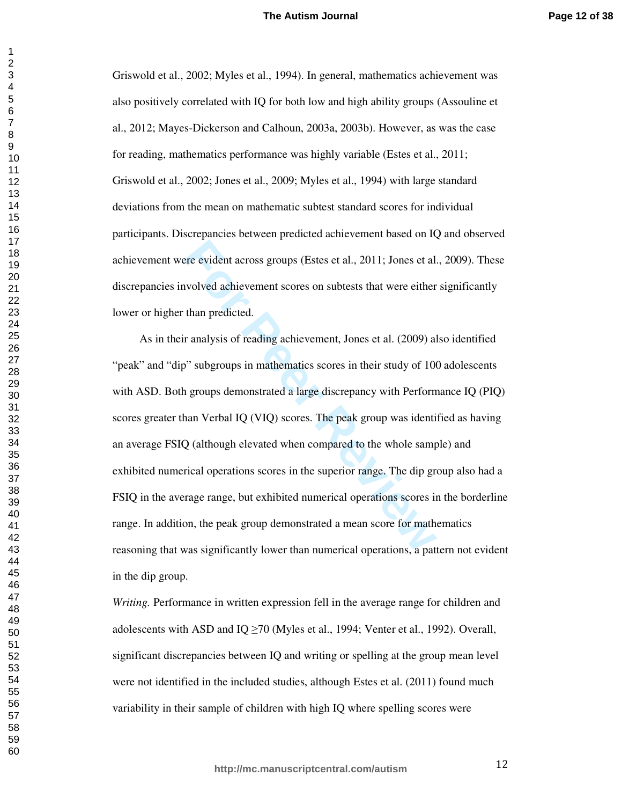Griswold et al., 2002; Myles et al., 1994). In general, mathematics achievement was also positively correlated with IQ for both low and high ability groups (Assouline et al., 2012; Mayes-Dickerson and Calhoun, 2003a, 2003b). However, as was the case for reading, mathematics performance was highly variable (Estes et al., 2011; Griswold et al., 2002; Jones et al., 2009; Myles et al., 1994) with large standard deviations from the mean on mathematic subtest standard scores for individual participants. Discrepancies between predicted achievement based on IQ and observed achievement were evident across groups (Estes et al., 2011; Jones et al., 2009). These discrepancies involved achievement scores on subtests that were either significantly lower or higher than predicted.

For evident across groups (Estes et al., 2011; Jones et al.<br> **For all any obtain achievement scores on subtests that were either**<br> **For than predicted.**<br> **For analysis of reading achievement, Jones et al. (2009) all<br>
<b>Por**  As in their analysis of reading achievement, Jones et al. (2009) also identified "peak" and "dip" subgroups in mathematics scores in their study of 100 adolescents with ASD. Both groups demonstrated a large discrepancy with Performance IQ (PIQ) scores greater than Verbal IQ (VIQ) scores. The peak group was identified as having an average FSIQ (although elevated when compared to the whole sample) and exhibited numerical operations scores in the superior range. The dip group also had a FSIQ in the average range, but exhibited numerical operations scores in the borderline range. In addition, the peak group demonstrated a mean score for mathematics reasoning that was significantly lower than numerical operations, a pattern not evident in the dip group.

*Writing.* Performance in written expression fell in the average range for children and adolescents with ASD and  $IQ \ge 70$  (Myles et al., 1994; Venter et al., 1992). Overall, significant discrepancies between IQ and writing or spelling at the group mean level were not identified in the included studies, although Estes et al. (2011) found much variability in their sample of children with high IQ where spelling scores were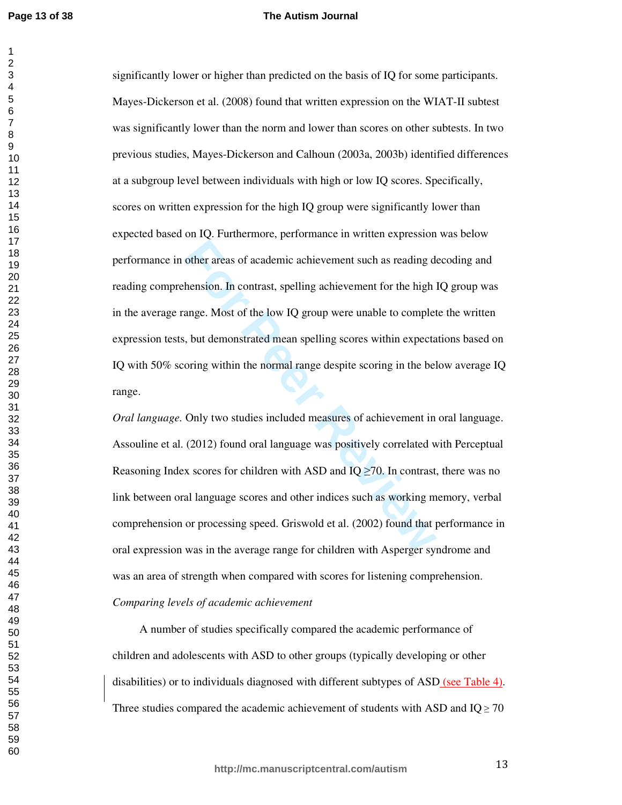$\mathbf{1}$ 

## **The Autism Journal**

other areas of academic achievement such as reading do<br>hension. In contrast, spelling achievement for the high lange. Most of the low IQ group were unable to complet<br>i, but demonstrated mean spelling scores within expecta significantly lower or higher than predicted on the basis of IQ for some participants. Mayes-Dickerson et al. (2008) found that written expression on the WIAT-II subtest was significantly lower than the norm and lower than scores on other subtests. In two previous studies, Mayes-Dickerson and Calhoun (2003a, 2003b) identified differences at a subgroup level between individuals with high or low IQ scores. Specifically, scores on written expression for the high IQ group were significantly lower than expected based on IQ. Furthermore, performance in written expression was below performance in other areas of academic achievement such as reading decoding and reading comprehension. In contrast, spelling achievement for the high IQ group was in the average range. Most of the low IQ group were unable to complete the written expression tests, but demonstrated mean spelling scores within expectations based on IQ with 50% scoring within the normal range despite scoring in the below average IQ range.

*Oral language.* Only two studies included measures of achievement in oral language. Assouline et al. (2012) found oral language was positively correlated with Perceptual Reasoning Index scores for children with ASD and  $IQ \ge 70$ . In contrast, there was no link between oral language scores and other indices such as working memory, verbal comprehension or processing speed. Griswold et al. (2002) found that performance in oral expression was in the average range for children with Asperger syndrome and was an area of strength when compared with scores for listening comprehension. *Comparing levels of academic achievement* 

 A number of studies specifically compared the academic performance of children and adolescents with ASD to other groups (typically developing or other disabilities) or to individuals diagnosed with different subtypes of ASD (see Table 4). Three studies compared the academic achievement of students with ASD and  $IQ \ge 70$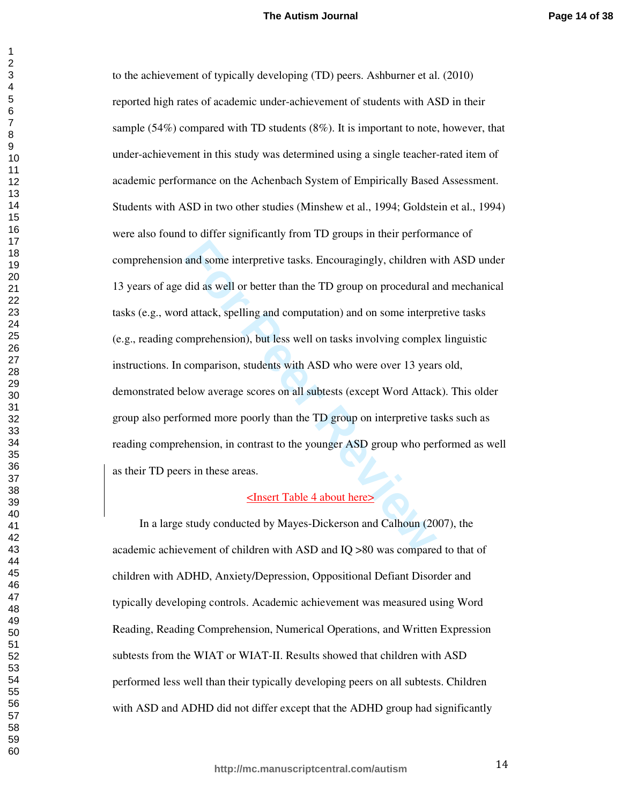and some interpretive tasks. Encouragingly, children w<br>did as well or better than the TD group on procedural a<br>d attack, spelling and computation) and on some interpr<br>proprehension), but less well on tasks involving comple to the achievement of typically developing (TD) peers. Ashburner et al. (2010) reported high rates of academic under-achievement of students with ASD in their sample (54%) compared with TD students (8%). It is important to note, however, that under-achievement in this study was determined using a single teacher-rated item of academic performance on the Achenbach System of Empirically Based Assessment. Students with ASD in two other studies (Minshew et al., 1994; Goldstein et al., 1994) were also found to differ significantly from TD groups in their performance of comprehension and some interpretive tasks. Encouragingly, children with ASD under 13 years of age did as well or better than the TD group on procedural and mechanical tasks (e.g., word attack, spelling and computation) and on some interpretive tasks (e.g., reading comprehension), but less well on tasks involving complex linguistic instructions. In comparison, students with ASD who were over 13 years old, demonstrated below average scores on all subtests (except Word Attack). This older group also performed more poorly than the TD group on interpretive tasks such as reading comprehension, in contrast to the younger ASD group who performed as well as their TD peers in these areas.

### <Insert Table 4 about here>

 In a large study conducted by Mayes-Dickerson and Calhoun (2007), the academic achievement of children with ASD and IQ >80 was compared to that of children with ADHD, Anxiety/Depression, Oppositional Defiant Disorder and typically developing controls. Academic achievement was measured using Word Reading, Reading Comprehension, Numerical Operations, and Written Expression subtests from the WIAT or WIAT-II. Results showed that children with ASD performed less well than their typically developing peers on all subtests. Children with ASD and ADHD did not differ except that the ADHD group had significantly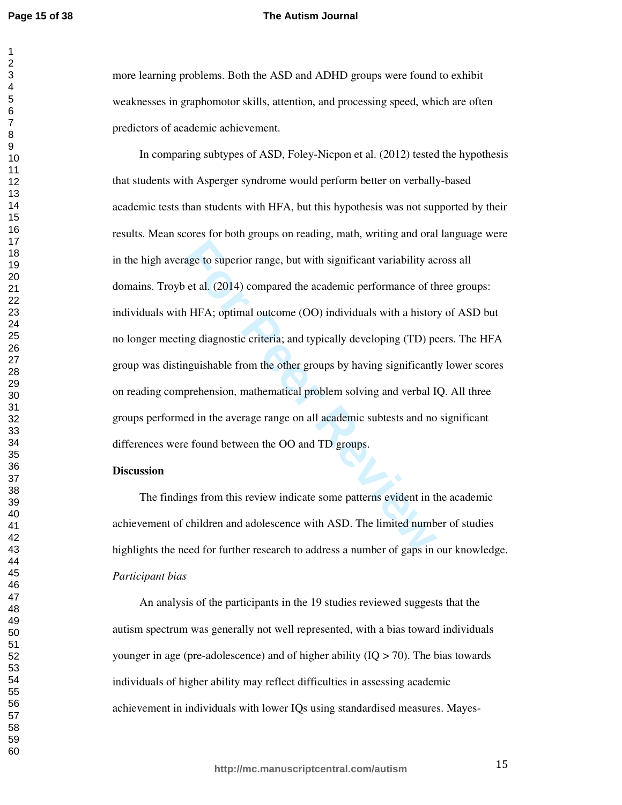## **The Autism Journal**

more learning problems. Both the ASD and ADHD groups were found to exhibit weaknesses in graphomotor skills, attention, and processing speed, which are often predictors of academic achievement.

rage to superior range, but with significant variability accorded the academic performance of the 1HFA; optimal outcome (OO) individuals with a histor mag diagnostic criteria; and typically developing (TD) per neguishable In comparing subtypes of ASD, Foley-Nicpon et al. (2012) tested the hypothesis that students with Asperger syndrome would perform better on verbally-based academic tests than students with HFA, but this hypothesis was not supported by their results. Mean scores for both groups on reading, math, writing and oral language were in the high average to superior range, but with significant variability across all domains. Troyb et al. (2014) compared the academic performance of three groups: individuals with HFA; optimal outcome (OO) individuals with a history of ASD but no longer meeting diagnostic criteria; and typically developing (TD) peers. The HFA group was distinguishable from the other groups by having significantly lower scores on reading comprehension, mathematical problem solving and verbal IQ. All three groups performed in the average range on all academic subtests and no significant differences were found between the OO and TD groups.

#### **Discussion**

 The findings from this review indicate some patterns evident in the academic achievement of children and adolescence with ASD. The limited number of studies highlights the need for further research to address a number of gaps in our knowledge. *Participant bias* 

 An analysis of the participants in the 19 studies reviewed suggests that the autism spectrum was generally not well represented, with a bias toward individuals younger in age (pre-adolescence) and of higher ability  $(IQ > 70)$ . The bias towards individuals of higher ability may reflect difficulties in assessing academic achievement in individuals with lower IQs using standardised measures. Mayes-

**http://mc.manuscriptcentral.com/autism**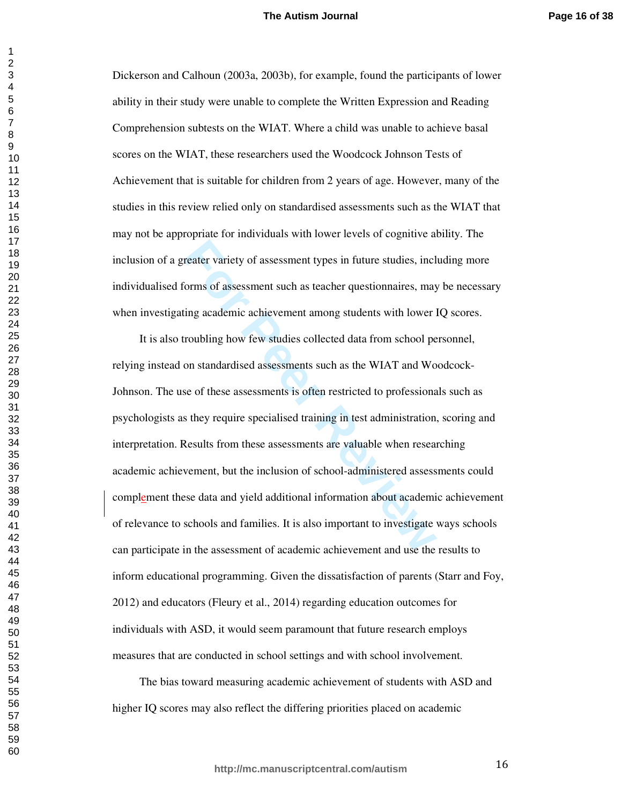Dickerson and Calhoun (2003a, 2003b), for example, found the participants of lower ability in their study were unable to complete the Written Expression and Reading Comprehension subtests on the WIAT. Where a child was unable to achieve basal scores on the WIAT, these researchers used the Woodcock Johnson Tests of Achievement that is suitable for children from 2 years of age. However, many of the studies in this review relied only on standardised assessments such as the WIAT that may not be appropriate for individuals with lower levels of cognitive ability. The inclusion of a greater variety of assessment types in future studies, including more individualised forms of assessment such as teacher questionnaires, may be necessary when investigating academic achievement among students with lower IQ scores.

Fraction variety of assessment types in future studies, incl<br>
Forms of assessment such as teacher questionnaires, may<br>
figure academic achievement among students with lower<br>
Froubling how few studies collected data from sc It is also troubling how few studies collected data from school personnel, relying instead on standardised assessments such as the WIAT and Woodcock-Johnson. The use of these assessments is often restricted to professionals such as psychologists as they require specialised training in test administration, scoring and interpretation. Results from these assessments are valuable when researching academic achievement, but the inclusion of school-administered assessments could complement these data and yield additional information about academic achievement of relevance to schools and families. It is also important to investigate ways schools can participate in the assessment of academic achievement and use the results to inform educational programming. Given the dissatisfaction of parents (Starr and Foy, 2012) and educators (Fleury et al., 2014) regarding education outcomes for individuals with ASD, it would seem paramount that future research employs measures that are conducted in school settings and with school involvement.

 The bias toward measuring academic achievement of students with ASD and higher IQ scores may also reflect the differing priorities placed on academic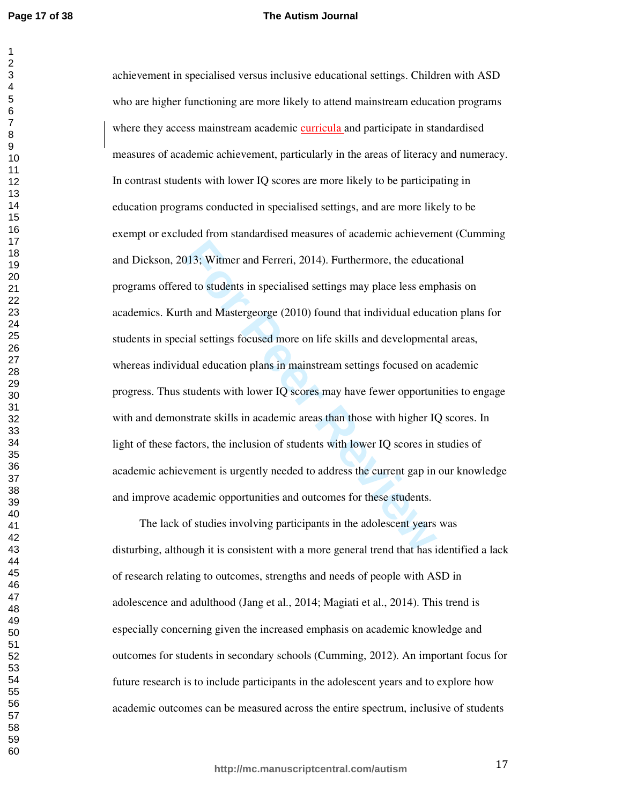$\mathbf{1}$ 

## **The Autism Journal**

013; Witmer and Ferreri, 2014). Furthermore, the educated to students in specialised settings may place less empth and Mastergeorge (2010) found that individual educatial settings focused more on life skills and developmen achievement in specialised versus inclusive educational settings. Children with ASD who are higher functioning are more likely to attend mainstream education programs where they access mainstream academic curricula and participate in standardised measures of academic achievement, particularly in the areas of literacy and numeracy. In contrast students with lower IQ scores are more likely to be participating in education programs conducted in specialised settings, and are more likely to be exempt or excluded from standardised measures of academic achievement (Cumming and Dickson, 2013; Witmer and Ferreri, 2014). Furthermore, the educational programs offered to students in specialised settings may place less emphasis on academics. Kurth and Mastergeorge (2010) found that individual education plans for students in special settings focused more on life skills and developmental areas, whereas individual education plans in mainstream settings focused on academic progress. Thus students with lower IQ scores may have fewer opportunities to engage with and demonstrate skills in academic areas than those with higher IQ scores. In light of these factors, the inclusion of students with lower IQ scores in studies of academic achievement is urgently needed to address the current gap in our knowledge and improve academic opportunities and outcomes for these students.

 The lack of studies involving participants in the adolescent years was disturbing, although it is consistent with a more general trend that has identified a lack of research relating to outcomes, strengths and needs of people with ASD in adolescence and adulthood (Jang et al., 2014; Magiati et al., 2014). This trend is especially concerning given the increased emphasis on academic knowledge and outcomes for students in secondary schools (Cumming, 2012). An important focus for future research is to include participants in the adolescent years and to explore how academic outcomes can be measured across the entire spectrum, inclusive of students

**http://mc.manuscriptcentral.com/autism**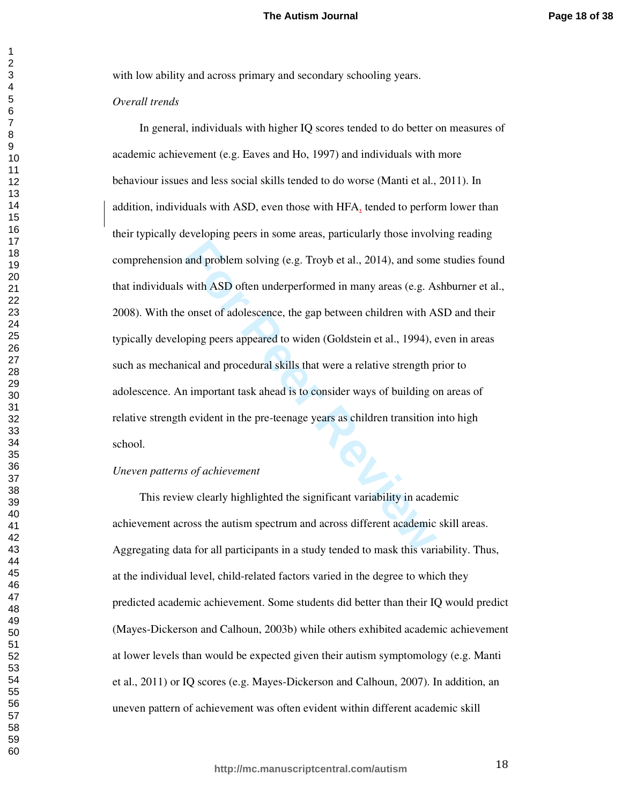with low ability and across primary and secondary schooling years.

## *Overall trends*

and problem solving (e.g. Troyb et al., 2014), and some<br>with ASD often underperformed in many areas (e.g. A:<br>conset of adolescence, the gap between children with A<br>pping peers appeared to widen (Goldstein et al., 1994), e<br> In general, individuals with higher IQ scores tended to do better on measures of academic achievement (e.g. Eaves and Ho, 1997) and individuals with more behaviour issues and less social skills tended to do worse (Manti et al., 2011). In addition, individuals with ASD, even those with HFA, tended to perform lower than their typically developing peers in some areas, particularly those involving reading comprehension and problem solving (e.g. Troyb et al., 2014), and some studies found that individuals with ASD often underperformed in many areas (e.g. Ashburner et al., 2008). With the onset of adolescence, the gap between children with ASD and their typically developing peers appeared to widen (Goldstein et al., 1994), even in areas such as mechanical and procedural skills that were a relative strength prior to adolescence. An important task ahead is to consider ways of building on areas of relative strength evident in the pre-teenage years as children transition into high school.

#### *Uneven patterns of achievement*

 This review clearly highlighted the significant variability in academic achievement across the autism spectrum and across different academic skill areas. Aggregating data for all participants in a study tended to mask this variability. Thus, at the individual level, child-related factors varied in the degree to which they predicted academic achievement. Some students did better than their IQ would predict (Mayes-Dickerson and Calhoun, 2003b) while others exhibited academic achievement at lower levels than would be expected given their autism symptomology (e.g. Manti et al., 2011) or IQ scores (e.g. Mayes-Dickerson and Calhoun, 2007). In addition, an uneven pattern of achievement was often evident within different academic skill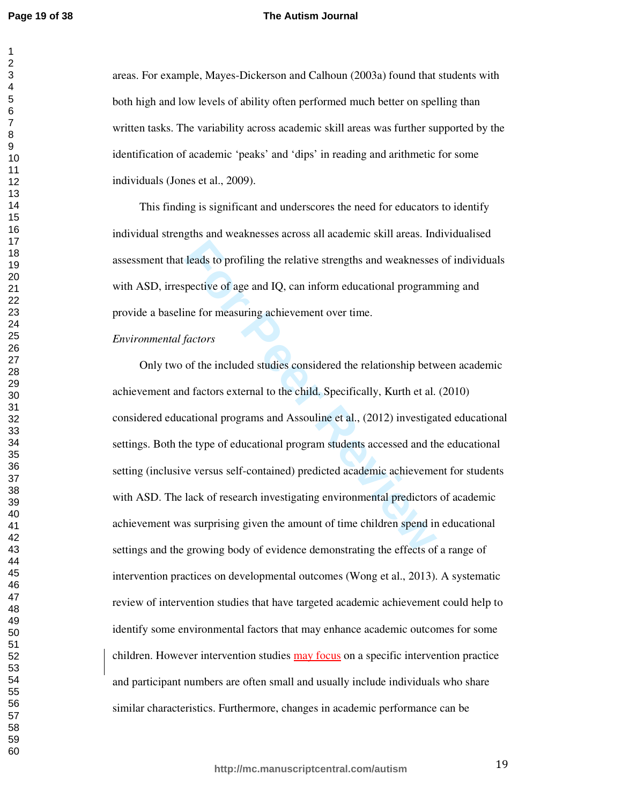## **The Autism Journal**

areas. For example, Mayes-Dickerson and Calhoun (2003a) found that students with both high and low levels of ability often performed much better on spelling than written tasks. The variability across academic skill areas was further supported by the identification of academic 'peaks' and 'dips' in reading and arithmetic for some individuals (Jones et al., 2009).

 This finding is significant and underscores the need for educators to identify individual strengths and weaknesses across all academic skill areas. Individualised assessment that leads to profiling the relative strengths and weaknesses of individuals with ASD, irrespective of age and IQ, can inform educational programming and provide a baseline for measuring achievement over time.

#### *Environmental factors*

Exads to profiling the relative strengths and weaknesses<br>pective of age and IQ, can inform educational programs<br>ine for measuring achievement over time.<br>factors<br>of the included studies considered the relationship between<br>d Only two of the included studies considered the relationship between academic achievement and factors external to the child. Specifically, Kurth et al. (2010) considered educational programs and Assouline et al., (2012) investigated educational settings. Both the type of educational program students accessed and the educational setting (inclusive versus self-contained) predicted academic achievement for students with ASD. The lack of research investigating environmental predictors of academic achievement was surprising given the amount of time children spend in educational settings and the growing body of evidence demonstrating the effects of a range of intervention practices on developmental outcomes (Wong et al., 2013). A systematic review of intervention studies that have targeted academic achievement could help to identify some environmental factors that may enhance academic outcomes for some children. However intervention studies may focus on a specific intervention practice and participant numbers are often small and usually include individuals who share similar characteristics. Furthermore, changes in academic performance can be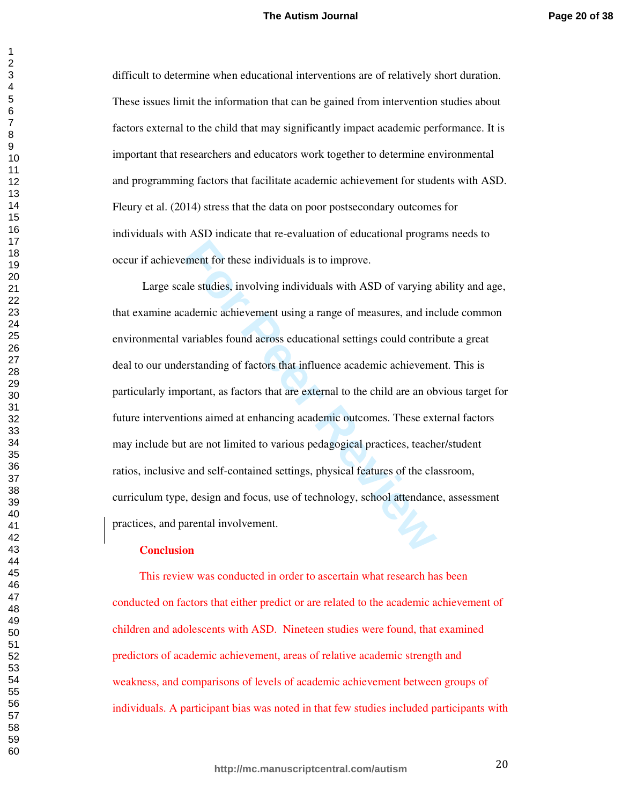difficult to determine when educational interventions are of relatively short duration. These issues limit the information that can be gained from intervention studies about factors external to the child that may significantly impact academic performance. It is important that researchers and educators work together to determine environmental and programming factors that facilitate academic achievement for students with ASD. Fleury et al. (2014) stress that the data on poor postsecondary outcomes for individuals with ASD indicate that re-evaluation of educational programs needs to occur if achievement for these individuals is to improve.

For these individuals is to improve.<br>
ale studies, involving individuals with ASD of varying a<br>
ademic achievement using a range of measures, and inc<br>
variables found across educational settings could contril<br>
restanding o Large scale studies, involving individuals with ASD of varying ability and age, that examine academic achievement using a range of measures, and include common environmental variables found across educational settings could contribute a great deal to our understanding of factors that influence academic achievement. This is particularly important, as factors that are external to the child are an obvious target for future interventions aimed at enhancing academic outcomes. These external factors may include but are not limited to various pedagogical practices, teacher/student ratios, inclusive and self-contained settings, physical features of the classroom, curriculum type, design and focus, use of technology, school attendance, assessment practices, and parental involvement.

## **Conclusion**

 This review was conducted in order to ascertain what research has been conducted on factors that either predict or are related to the academic achievement of children and adolescents with ASD. Nineteen studies were found, that examined predictors of academic achievement, areas of relative academic strength and weakness, and comparisons of levels of academic achievement between groups of individuals. A participant bias was noted in that few studies included participants with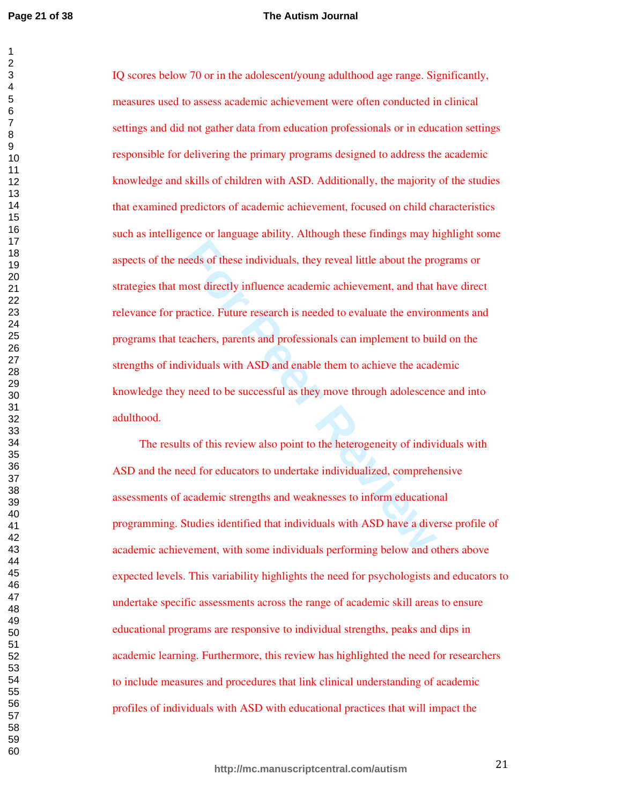## **The Autism Journal**

For Peeds of these individuals, they reveal little about the protost directly influence academic achievement, and that lactice. Future research is needed to evaluate the environd eachers, parents and professionals can impl IQ scores below 70 or in the adolescent/young adulthood age range. Significantly, measures used to assess academic achievement were often conducted in clinical settings and did not gather data from education professionals or in education settings responsible for delivering the primary programs designed to address the academic knowledge and skills of children with ASD. Additionally, the majority of the studies that examined predictors of academic achievement, focused on child characteristics such as intelligence or language ability. Although these findings may highlight some aspects of the needs of these individuals, they reveal little about the programs or strategies that most directly influence academic achievement, and that have direct relevance for practice. Future research is needed to evaluate the environments and programs that teachers, parents and professionals can implement to build on the strengths of individuals with ASD and enable them to achieve the academic knowledge they need to be successful as they move through adolescence and into adulthood.

 The results of this review also point to the heterogeneity of individuals with ASD and the need for educators to undertake individualized, comprehensive assessments of academic strengths and weaknesses to inform educational programming. Studies identified that individuals with ASD have a diverse profile of academic achievement, with some individuals performing below and others above expected levels. This variability highlights the need for psychologists and educators to undertake specific assessments across the range of academic skill areas to ensure educational programs are responsive to individual strengths, peaks and dips in academic learning. Furthermore, this review has highlighted the need for researchers to include measures and procedures that link clinical understanding of academic profiles of individuals with ASD with educational practices that will impact the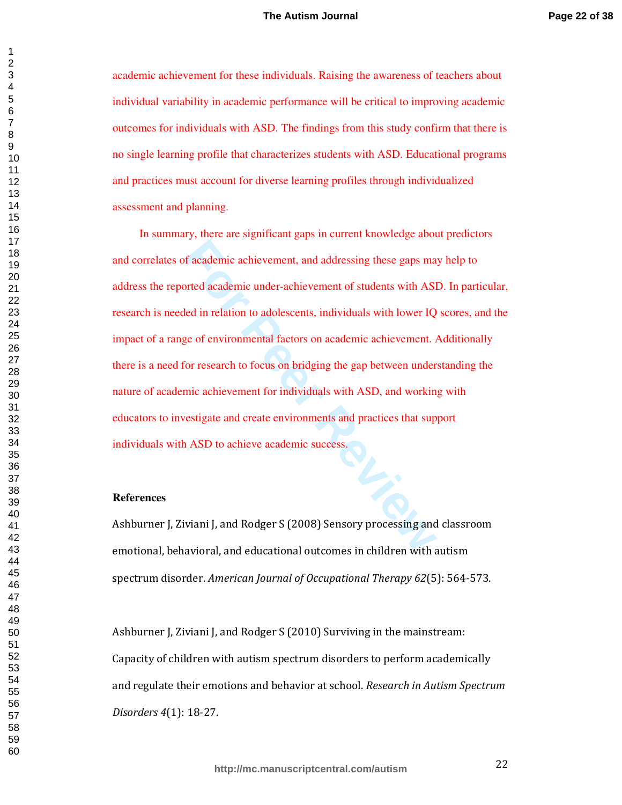academic achievement for these individuals. Raising the awareness of teachers about individual variability in academic performance will be critical to improving academic outcomes for individuals with ASD. The findings from this study confirm that there is no single learning profile that characterizes students with ASD. Educational programs and practices must account for diverse learning profiles through individualized assessment and planning.

Facademic achievement, and addressing these gaps mand and a solution to adolescents, individuals with lower IQ and relation to adolescents, individuals with lower IQ are of environmental factors on academic achievement. A In summary, there are significant gaps in current knowledge about predictors and correlates of academic achievement, and addressing these gaps may help to address the reported academic under-achievement of students with ASD. In particular, research is needed in relation to adolescents, individuals with lower IQ scores, and the impact of a range of environmental factors on academic achievement. Additionally there is a need for research to focus on bridging the gap between understanding the nature of academic achievement for individuals with ASD, and working with educators to investigate and create environments and practices that support individuals with ASD to achieve academic success.

## **References**

Ashburner J, Ziviani J, and Rodger S (2008) Sensory processing and classroom emotional, behavioral, and educational outcomes in children with autism spectrum disorder. *American Journal of Occupational Therapy 62*(5): 564-573.

Ashburner J, Ziviani J, and Rodger S (2010) Surviving in the mainstream: Capacity of children with autism spectrum disorders to perform academically and regulate their emotions and behavior at school. *Research in Autism Spectrum Disorders 4*(1): 18-27.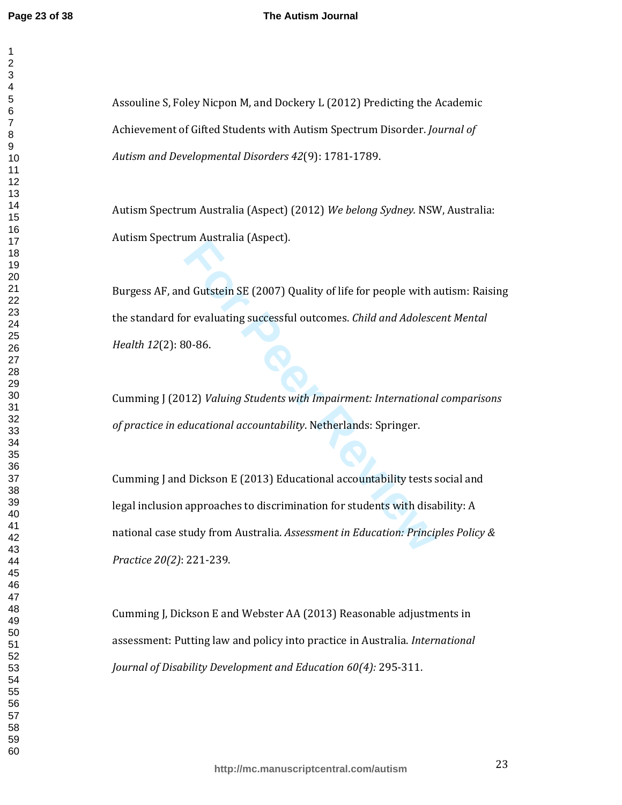#### **The Autism Journal**

Assouline S, Foley Nicpon M, and Dockery L (2012) Predicting the Academic Achievement of Gifted Students with Autism Spectrum Disorder. *Journal of Autism and Developmental Disorders 42*(9): 1781-1789.

Autism Spectrum Australia (Aspect) (2012) *We belong Sydney.* NSW, Australia: Autism Spectrum Australia (Aspect).

Burgess AF, and Gutstein SE (2007) Quality of life for people with autism: Raising the standard for evaluating successful outcomes. *Child and Adolescent Mental Health 12*(2): 80-86.

Cumming J (2012) *Valuing Students with Impairment: International comparisons of practice in educational accountability*. Netherlands: Springer.

In This claim<br>
d Gutstein SE (2007) Quality of life for people with a<br>
or evaluating successful outcomes. *Child and Adolesce*<br>
10-86.<br> **For Period Adolesce SOCI**<br>
12) Valuing Students with Impairment: International<br>
ducat Cumming J and Dickson E (2013) Educational accountability tests social and legal inclusion approaches to discrimination for students with disability: A national case study from Australia. *Assessment in Education: Principles Policy & Practice 20(2)*: 221-239.

Cumming J, Dickson E and Webster AA (2013) Reasonable adjustments in assessment: Putting law and policy into practice in Australia. *International Journal of Disability Development and Education 60(4):* 295-311.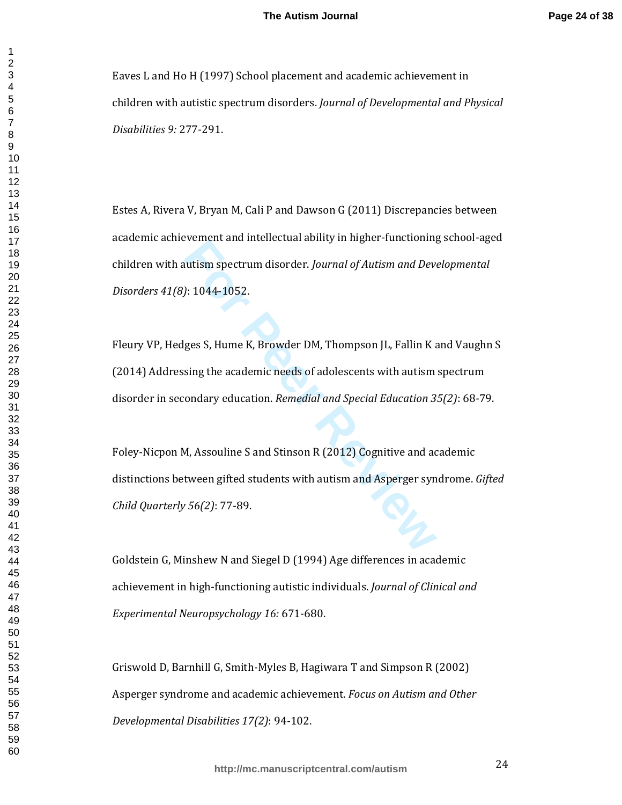Eaves L and Ho H (1997) School placement and academic achievement in children with autistic spectrum disorders. *Journal of Developmental and Physical Disabilities 9:* 277-291.

Estes A, Rivera V, Bryan M, Cali P and Dawson G (2011) Discrepancies between academic achievement and intellectual ability in higher-functioning school-aged children with autism spectrum disorder. *Journal of Autism and Developmental Disorders 41(8)*: 1044-1052.

Forment and interlectual domity in inglied tales.<br>Fultism spectrum disorder. Journal of Autism and Deviation and Deviation 2:<br>1044-1052.<br>Jess S, Hume K, Browder DM, Thompson JL, Fallin K a<br>sing the academic needs of adoles Fleury VP, Hedges S, Hume K, Browder DM, Thompson JL, Fallin K and Vaughn S (2014) Addressing the academic needs of adolescents with autism spectrum disorder in secondary education. *Remedial and Special Education 35(2)*: 68-79.

Foley-Nicpon M, Assouline S and Stinson R (2012) Cognitive and academic distinctions between gifted students with autism and Asperger syndrome. *Gifted Child Quarterly 56(2)*: 77-89.

Goldstein G, Minshew N and Siegel D (1994) Age differences in academic achievement in high-functioning autistic individuals. *Journal of Clinical and Experimental Neuropsychology 16:* 671-680.

Griswold D, Barnhill G, Smith-Myles B, Hagiwara T and Simpson R (2002) Asperger syndrome and academic achievement. *Focus on Autism and Other Developmental Disabilities 17(2)*: 94-102.

 $\mathbf{1}$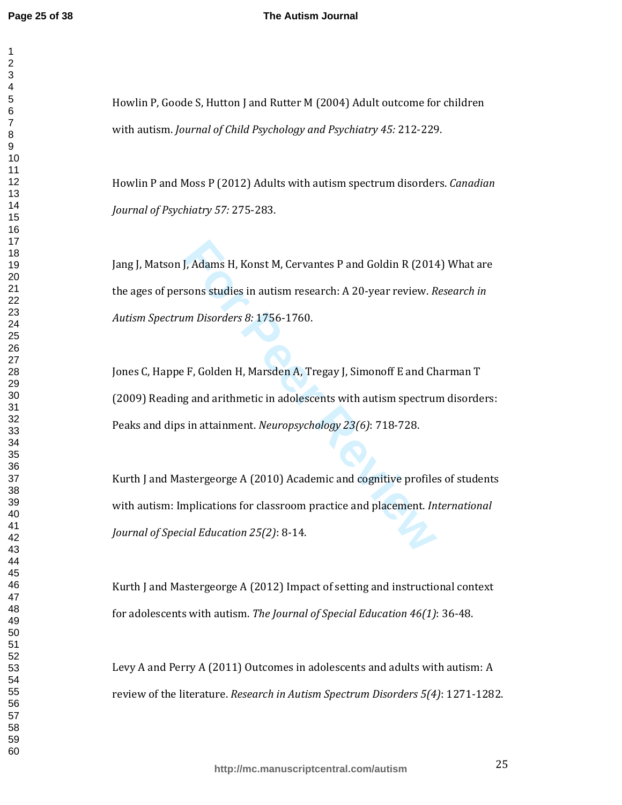## **The Autism Journal**

Howlin P, Goode S, Hutton J and Rutter M (2004) Adult outcome for children with autism. *Journal of Child Psychology and Psychiatry 45:* 212-229.

Howlin P and Moss P (2012) Adults with autism spectrum disorders. *Canadian Journal of Psychiatry 57:* 275-283.

J, Adams H, Konst M, Cervantes P and Goldin R (201<sup>2</sup><br>sons studies in autism research: A 20-year review. *R*<br>*m Disorders 8:* 1756-1760.<br>F, Golden H, Marsden A, Tregay J, Simonoff E and Ch<br>g and arithmetic in adolescents w Jang J, Matson J, Adams H, Konst M, Cervantes P and Goldin R (2014) What are the ages of persons studies in autism research: A 20-year review. *Research in Autism Spectrum Disorders 8:* 1756-1760.

Jones C, Happe F, Golden H, Marsden A, Tregay J, Simonoff E and Charman T (2009) Reading and arithmetic in adolescents with autism spectrum disorders: Peaks and dips in attainment. *Neuropsychology 23(6)*: 718-728.

Kurth J and Mastergeorge A (2010) Academic and cognitive profiles of students with autism: Implications for classroom practice and placement. *International Journal of Special Education 25(2)*: 8-14.

Kurth J and Mastergeorge A (2012) Impact of setting and instructional context for adolescents with autism. *The Journal of Special Education 46(1)*: 36-48.

Levy A and Perry A (2011) Outcomes in adolescents and adults with autism: A review of the literature. *Research in Autism Spectrum Disorders 5(4)*: 1271-1282.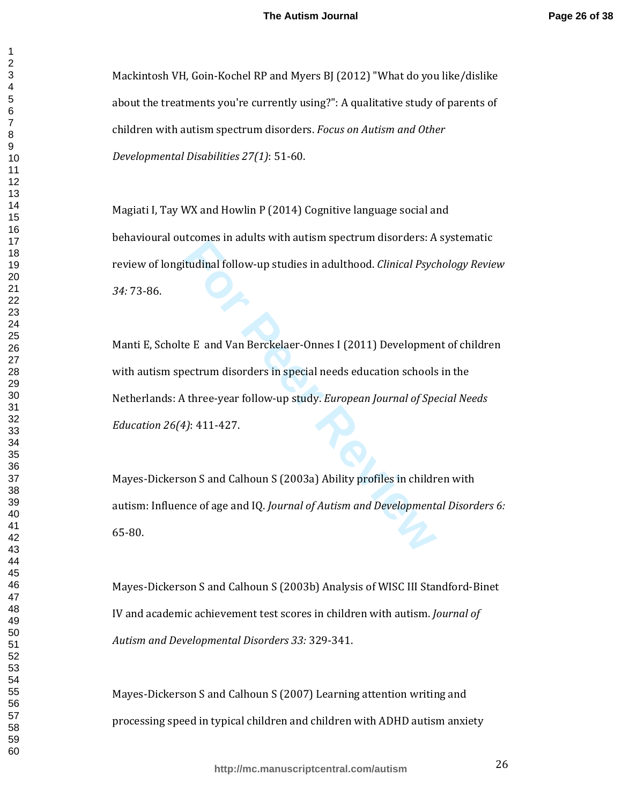Mackintosh VH, Goin-Kochel RP and Myers BJ (2012) "What do you like/dislike about the treatments you're currently using?": A qualitative study of parents of children with autism spectrum disorders. *Focus on Autism and Other Developmental Disabilities 27(1)*: 51-60.

Magiati I, Tay WX and Howlin P (2014) Cognitive language social and behavioural outcomes in adults with autism spectrum disorders: A systematic review of longitudinal follow-up studies in adulthood. *Clinical Psychology Review 34:* 73-86.

**Formular Indianal States in adulthood.** *Clinical Psyciatudinal follow-up studies in adulthood. Clinical Psyciatudinal follow-up studies in adulthood. Clinical Psyciatudinal follow-up studies I (2011) Development ectrum d* Manti E, Scholte E and Van Berckelaer-Onnes I (2011) Development of children with autism spectrum disorders in special needs education schools in the Netherlands: A three-year follow-up study. *European Journal of Special Needs Education 26(4)*: 411-427.

Mayes-Dickerson S and Calhoun S (2003a) Ability profiles in children with autism: Influence of age and IQ. *Journal of Autism and Developmental Disorders 6:* 65-80.

Mayes-Dickerson S and Calhoun S (2003b) Analysis of WISC III Standford-Binet IV and academic achievement test scores in children with autism. *Journal of Autism and Developmental Disorders 33:* 329-341.

Mayes-Dickerson S and Calhoun S (2007) Learning attention writing and processing speed in typical children and children with ADHD autism anxiety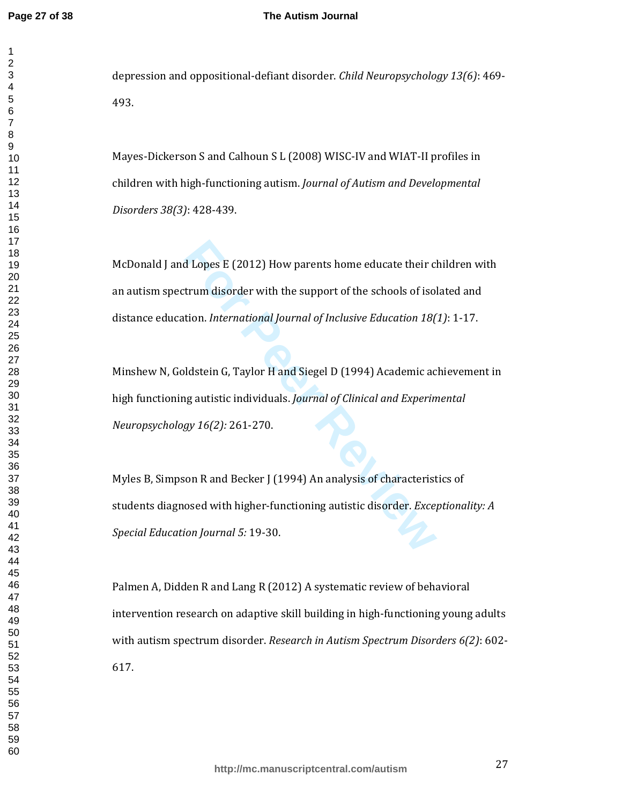## **The Autism Journal**

depression and oppositional-defiant disorder. *Child Neuropsychology 13(6)*: 469- 493.

Mayes-Dickerson S and Calhoun S L (2008) WISC-IV and WIAT-II profiles in children with high-functioning autism. *Journal of Autism and Developmental Disorders 38(3)*: 428-439.

McDonald J and Lopes E (2012) How parents home educate their children with an autism spectrum disorder with the support of the schools of isolated and distance education. *International Journal of Inclusive Education 18(1)*: 1-17.

Minshew N, Goldstein G, Taylor H and Siegel D (1994) Academic achievement in high functioning autistic individuals. *Journal of Clinical and Experimental Neuropsychology 16(2):* 261-270.

d Lopes E (2012) How parents home educate their cltrum disorder with the support of the schools of isol<br>tion. *International Journal of Inclusive Education 18(*<br>oldstein G, Taylor H and Siegel D (1994) Academic ac<br>ng autis Myles B, Simpson R and Becker J (1994) An analysis of characteristics of students diagnosed with higher-functioning autistic disorder. *Exceptionality: A Special Education Journal 5:* 19-30.

Palmen A, Didden R and Lang R (2012) A systematic review of behavioral intervention research on adaptive skill building in high-functioning young adults with autism spectrum disorder. *Research in Autism Spectrum Disorders 6(2)*: 602- 617.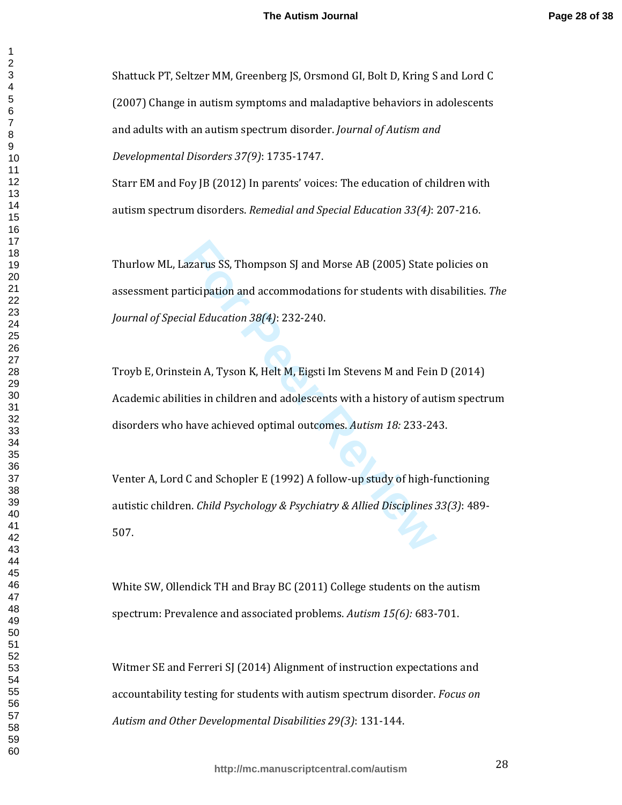Shattuck PT, Seltzer MM, Greenberg JS, Orsmond GI, Bolt D, Kring S and Lord C (2007) Change in autism symptoms and maladaptive behaviors in adolescents and adults with an autism spectrum disorder. *Journal of Autism and Developmental Disorders 37(9)*: 1735-1747.

Starr EM and Foy JB (2012) In parents' voices: The education of children with autism spectrum disorders. *Remedial and Special Education 33(4)*: 207-216.

azarus SS, Thompson SJ and Morse AB (2005) State protection and accommodations for students with d<br>ial Education 38(4): 232-240.<br>tein A, Tyson K, Helt M, Eigsti Im Stevens M and Fein<br>ties in children and adolescents with a Thurlow ML, Lazarus SS, Thompson SJ and Morse AB (2005) State policies on assessment participation and accommodations for students with disabilities. *The Journal of Special Education 38(4)*: 232-240.

Troyb E, Orinstein A, Tyson K, Helt M, Eigsti Im Stevens M and Fein D (2014) Academic abilities in children and adolescents with a history of autism spectrum disorders who have achieved optimal outcomes. *Autism 18:* 233-243.

Venter A, Lord C and Schopler E (1992) A follow-up study of high-functioning autistic children. *Child Psychology & Psychiatry & Allied Disciplines 33(3)*: 489- 507.

White SW, Ollendick TH and Bray BC (2011) College students on the autism spectrum: Prevalence and associated problems. *Autism 15(6):* 683-701.

Witmer SE and Ferreri SJ (2014) Alignment of instruction expectations and accountability testing for students with autism spectrum disorder. *Focus on Autism and Other Developmental Disabilities 29(3)*: 131-144.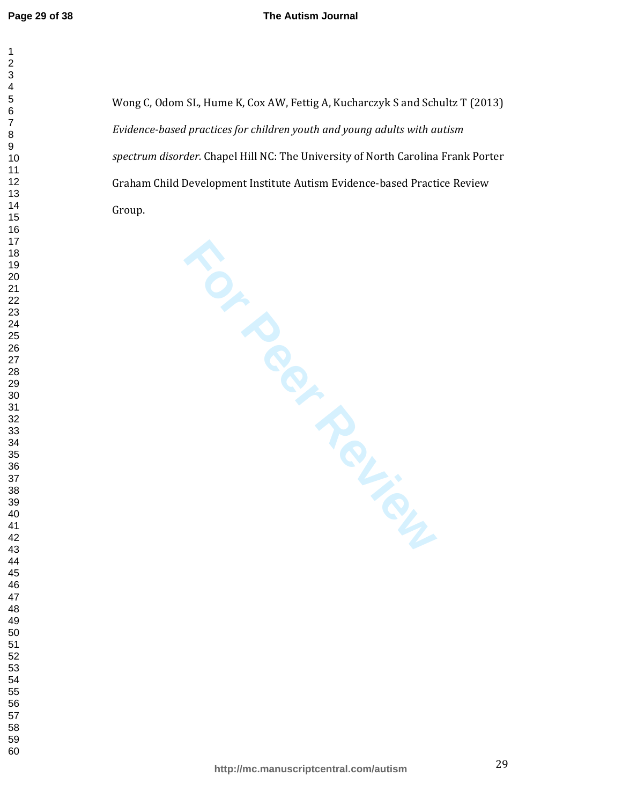$\mathbf{1}$  $\overline{2}$  $\overline{\mathbf{4}}$  $\overline{7}$ 

## **The Autism Journal**

Wong C, Odom SL, Hume K, Cox AW, Fettig A, Kucharczyk S and Schultz T (2013) *Evidence-based practices for children youth and young adults with autism spectrum disorder.* Chapel Hill NC: The University of North Carolina Frank Porter Graham Child Development Institute Autism Evidence-based Practice Review Group.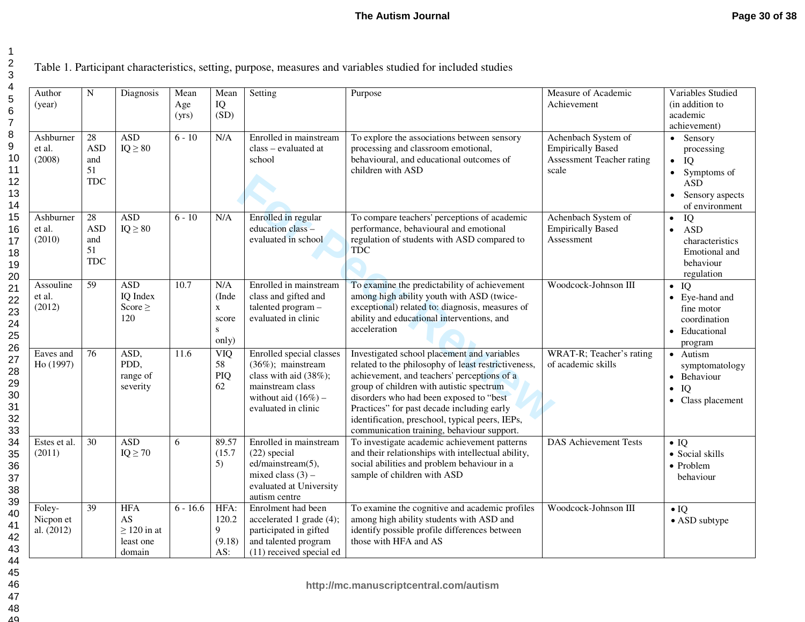Table 1. Participant characteristics, setting, purpose, measures and variables studied for included studies

| Author<br>(year)                  | ${\bf N}$                                       | Diagnosis                                                   | Mean<br>Age<br>(yrs) | Mean<br>IQ<br>(SD)                                         | Setting                                                                                                                                     | Purpose                                                                                                                                                                                                                                                                                                                                                                                 | Measure of Academic<br>Achievement                                                           | Variables Studied<br>(in addition to<br>academic<br>achievement)                                                      |
|-----------------------------------|-------------------------------------------------|-------------------------------------------------------------|----------------------|------------------------------------------------------------|---------------------------------------------------------------------------------------------------------------------------------------------|-----------------------------------------------------------------------------------------------------------------------------------------------------------------------------------------------------------------------------------------------------------------------------------------------------------------------------------------------------------------------------------------|----------------------------------------------------------------------------------------------|-----------------------------------------------------------------------------------------------------------------------|
| Ashburner<br>et al.<br>(2008)     | $28\,$<br><b>ASD</b><br>and<br>51<br><b>TDC</b> | <b>ASD</b><br>$IQ \geq 80$                                  | $6 - 10$             | N/A                                                        | Enrolled in mainstream<br>class - evaluated at<br>school                                                                                    | To explore the associations between sensory<br>processing and classroom emotional,<br>behavioural, and educational outcomes of<br>children with ASD                                                                                                                                                                                                                                     | Achenbach System of<br><b>Empirically Based</b><br><b>Assessment Teacher rating</b><br>scale | • Sensory<br>processing<br>$\bullet$ IQ<br>$\bullet$ Symptoms of<br><b>ASD</b><br>• Sensory aspects<br>of environment |
| Ashburner<br>et al.<br>(2010)     | 28<br><b>ASD</b><br>and<br>51<br><b>TDC</b>     | ASD<br>$IQ \geq 80$                                         | $6 - 10$             | N/A                                                        | Enrolled in regular<br>education class-<br>evaluated in school                                                                              | To compare teachers' perceptions of academic<br>performance, behavioural and emotional<br>regulation of students with ASD compared to<br><b>TDC</b>                                                                                                                                                                                                                                     | Achenbach System of<br><b>Empirically Based</b><br>Assessment                                | IQ<br>$\bullet$<br><b>ASD</b><br>$\bullet$<br>characteristics<br>Emotional and<br>behaviour<br>regulation             |
| Assouline<br>et al.<br>(2012)     | $\overline{59}$                                 | <b>ASD</b><br>IQ Index<br>Score $\geq$<br>120               | $\overline{10.7}$    | N/A<br>(Inde<br>$\mathbf X$<br>score<br>${\bf S}$<br>only) | Enrolled in mainstream<br>class and gifted and<br>talented program -<br>evaluated in clinic                                                 | To examine the predictability of achievement<br>among high ability youth with ASD (twice-<br>exceptional) related to: diagnosis, measures of<br>ability and educational interventions, and<br>acceleration                                                                                                                                                                              | Woodcock-Johnson III                                                                         | $\bullet$ IQ<br>• Eye-hand and<br>fine motor<br>coordination<br>• Educational<br>program                              |
| Eaves and<br>Ho (1997)            | $\overline{76}$                                 | ASD,<br>PDD,<br>range of<br>severity                        | 11.6                 | VIQ<br>58<br>PIQ<br>62                                     | Enrolled special classes<br>(36%); mainstream<br>class with aid (38%);<br>mainstream class<br>without aid $(16\%)$ -<br>evaluated in clinic | Investigated school placement and variables<br>related to the philosophy of least restrictiveness,<br>achievement, and teachers' perceptions of a<br>group of children with autistic spectrum<br>disorders who had been exposed to "best<br>Practices" for past decade including early<br>identification, preschool, typical peers, IEPs,<br>communication training, behaviour support. | WRAT-R; Teacher's rating<br>of academic skills                                               | • Autism<br>symptomatology<br>• Behaviour<br>$\bullet$ IQ<br>• Class placement                                        |
| Estes et al.<br>(2011)            | 30                                              | <b>ASD</b><br>$IQ \geq 70$                                  | 6                    | 89.57<br>(15.7)<br>5)                                      | Enrolled in mainstream<br>$(22)$ special<br>ed/mainstream(5),<br>mixed class $(3)$ –<br>evaluated at University<br>autism centre            | To investigate academic achievement patterns<br>and their relationships with intellectual ability,<br>social abilities and problem behaviour in a<br>sample of children with ASD                                                                                                                                                                                                        | <b>DAS Achievement Tests</b>                                                                 | $\bullet$ IQ<br>• Social skills<br>• Problem<br>behaviour                                                             |
| Foley-<br>Nicpon et<br>al. (2012) | 39                                              | <b>HFA</b><br>AS<br>$\geq$ 120 in at<br>least one<br>domain | $6 - 16.6$           | HFA:<br>120.2<br>9<br>(9.18)<br>AS:                        | Enrolment had been<br>accelerated 1 grade (4);<br>participated in gifted<br>and talented program<br>(11) received special ed                | To examine the cognitive and academic profiles<br>among high ability students with ASD and<br>identify possible profile differences between<br>those with HFA and AS                                                                                                                                                                                                                    | Woodcock-Johnson III                                                                         | $\bullet$ IQ<br>• ASD subtype                                                                                         |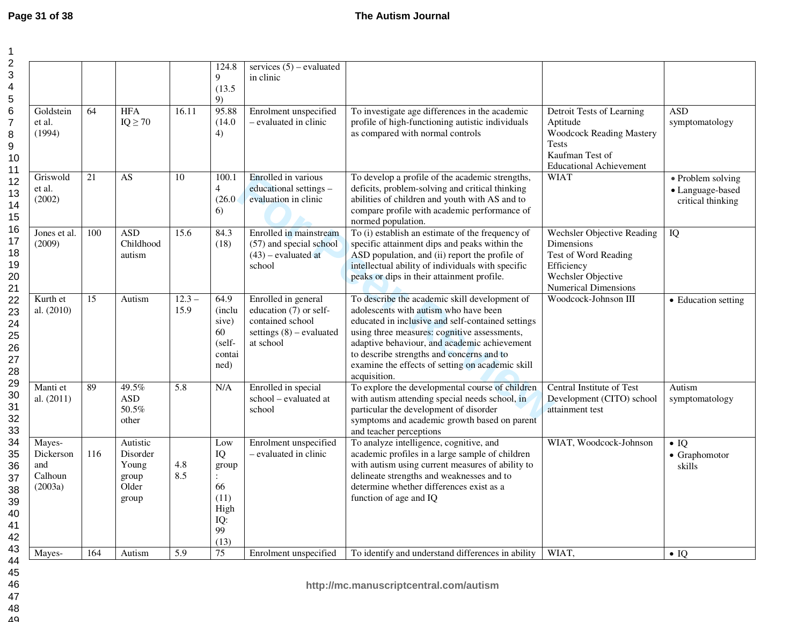|                                                  |     |                                                          |                  | 124.8<br>9<br>(13.5)<br>9)                                                      | services $(5)$ – evaluated<br>in clinic                                                                      |                                                                                                                                                                                                                                                                                                                                                              |                                                                                                                                               |                                                            |
|--------------------------------------------------|-----|----------------------------------------------------------|------------------|---------------------------------------------------------------------------------|--------------------------------------------------------------------------------------------------------------|--------------------------------------------------------------------------------------------------------------------------------------------------------------------------------------------------------------------------------------------------------------------------------------------------------------------------------------------------------------|-----------------------------------------------------------------------------------------------------------------------------------------------|------------------------------------------------------------|
| Goldstein<br>et al.<br>(1994)                    | 64  | <b>HFA</b><br>$IQ \geq 70$                               | 16.11            | 95.88<br>(14.0)<br>4)                                                           | Enrolment unspecified<br>- evaluated in clinic                                                               | To investigate age differences in the academic<br>profile of high-functioning autistic individuals<br>as compared with normal controls                                                                                                                                                                                                                       | Detroit Tests of Learning<br>Aptitude<br><b>Woodcock Reading Mastery</b><br><b>Tests</b><br>Kaufman Test of<br><b>Educational Achievement</b> | <b>ASD</b><br>symptomatology                               |
| Griswold<br>et al.<br>(2002)                     | 21  | AS                                                       | 10               | 100.1<br>$\overline{4}$<br>(26.0)<br>6)                                         | Enrolled in various<br>educational settings -<br>evaluation in clinic                                        | To develop a profile of the academic strengths,<br>deficits, problem-solving and critical thinking<br>abilities of children and youth with AS and to<br>compare profile with academic performance of<br>normed population.                                                                                                                                   | <b>WIAT</b>                                                                                                                                   | • Problem solving<br>• Language-based<br>critical thinking |
| Jones et al.<br>(2009)                           | 100 | <b>ASD</b><br>Childhood<br>autism                        | 15.6             | 84.3<br>(18)                                                                    | Enrolled in mainstream<br>(57) and special school<br>$(43)$ – evaluated at<br>school                         | To (i) establish an estimate of the frequency of<br>specific attainment dips and peaks within the<br>ASD population, and (ii) report the profile of<br>intellectual ability of individuals with specific<br>peaks or dips in their attainment profile.                                                                                                       | <b>Wechsler Objective Reading</b><br><b>Dimensions</b><br>Test of Word Reading<br>Efficiency<br>Wechsler Objective<br>Numerical Dimensions    | $\overline{IQ}$                                            |
| Kurth et<br>al. (2010)                           | 15  | Autism                                                   | $12.3 -$<br>15.9 | 64.9<br>(inclu<br>sive)<br>60<br>$(self-$<br>contai<br>ned)                     | Enrolled in general<br>education (7) or self-<br>contained school<br>settings $(8)$ – evaluated<br>at school | To describe the academic skill development of<br>adolescents with autism who have been<br>educated in inclusive and self-contained settings<br>using three measures: cognitive assessments,<br>adaptive behaviour, and academic achievement<br>to describe strengths and concerns and to<br>examine the effects of setting on academic skill<br>acquisition. | Woodcock-Johnson III                                                                                                                          | • Education setting                                        |
| Manti et<br>al. (2011)                           | 89  | 49.5%<br>$\mathbf{ASD}$<br>50.5%<br>other                | $\overline{5.8}$ | N/A                                                                             | Enrolled in special<br>school - evaluated at<br>school                                                       | To explore the developmental course of children<br>with autism attending special needs school, in<br>particular the development of disorder<br>symptoms and academic growth based on parent<br>and teacher perceptions                                                                                                                                       | Central Institute of Test<br>Development (CITO) school<br>attainment test                                                                     | Autism<br>symptomatology                                   |
| Mayes-<br>Dickerson<br>and<br>Calhoun<br>(2003a) | 116 | Autistic<br>Disorder<br>Young<br>group<br>Older<br>group | 4.8<br>8.5       | Low<br>IQ<br>group<br>$\ddot{\cdot}$<br>66<br>(11)<br>High<br>IQ:<br>99<br>(13) | Enrolment unspecified<br>- evaluated in clinic                                                               | To analyze intelligence, cognitive, and<br>academic profiles in a large sample of children<br>with autism using current measures of ability to<br>delineate strengths and weaknesses and to<br>determine whether differences exist as a<br>function of age and IQ                                                                                            | WIAT, Woodcock-Johnson                                                                                                                        | $\bullet$ IQ<br>$\bullet$ Graphomotor<br>skills            |
| Mayes-                                           | 164 | Autism                                                   | 5.9              | 75                                                                              | Enrolment unspecified                                                                                        | To identify and understand differences in ability                                                                                                                                                                                                                                                                                                            | WIAT.                                                                                                                                         | $\bullet$ IQ                                               |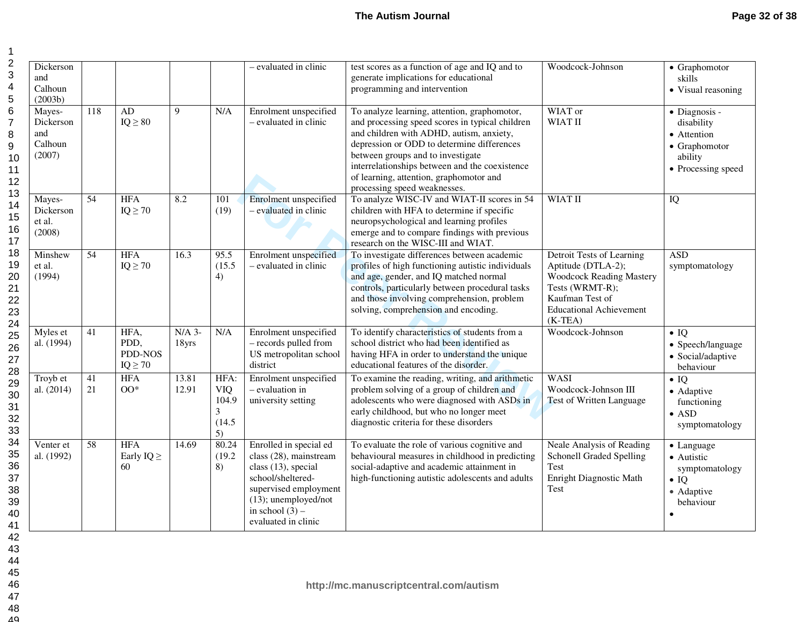| Dickerson<br>and<br>Calhoun<br>(2003b)          |          |                                         |                               |                                                  | - evaluated in clinic                                                                                                                                                                        | test scores as a function of age and IQ and to<br>generate implications for educational<br>programming and intervention                                                                                                                                                                                                                                     | Woodcock-Johnson                                                                                                                                                        | • Graphomotor<br>skills<br>• Visual reasoning                                                      |
|-------------------------------------------------|----------|-----------------------------------------|-------------------------------|--------------------------------------------------|----------------------------------------------------------------------------------------------------------------------------------------------------------------------------------------------|-------------------------------------------------------------------------------------------------------------------------------------------------------------------------------------------------------------------------------------------------------------------------------------------------------------------------------------------------------------|-------------------------------------------------------------------------------------------------------------------------------------------------------------------------|----------------------------------------------------------------------------------------------------|
| Mayes-<br>Dickerson<br>and<br>Calhoun<br>(2007) | 118      | AD<br>$IQ \geq 80$                      | $\mathbf{Q}$                  | N/A                                              | Enrolment unspecified<br>- evaluated in clinic                                                                                                                                               | To analyze learning, attention, graphomotor,<br>and processing speed scores in typical children<br>and children with ADHD, autism, anxiety,<br>depression or ODD to determine differences<br>between groups and to investigate<br>interrelationships between and the coexistence<br>of learning, attention, graphomotor and<br>processing speed weaknesses. | WIAT or<br>WIAT II                                                                                                                                                      | · Diagnosis -<br>disability<br>• Attention<br>• Graphomotor<br>ability<br>• Processing speed       |
| Mayes-<br>Dickerson<br>et al.<br>(2008)         | 54       | <b>HFA</b><br>$IQ \geq 70$              | $\overline{8.2}$              | 101<br>(19)                                      | Enrolment unspecified<br>- evaluated in clinic                                                                                                                                               | To analyze WISC-IV and WIAT-II scores in 54<br>children with HFA to determine if specific<br>neuropsychological and learning profiles<br>emerge and to compare findings with previous<br>research on the WISC-III and WIAT.                                                                                                                                 | <b>WIAT II</b>                                                                                                                                                          | IQ                                                                                                 |
| Minshew<br>et al.<br>(1994)                     | 54       | <b>HFA</b><br>$IQ \geq 70$              | 16.3                          | 95.5<br>(15.5)<br>4)                             | Enrolment unspecified<br>- evaluated in clinic                                                                                                                                               | To investigate differences between academic<br>profiles of high functioning autistic individuals<br>and age, gender, and IQ matched normal<br>controls, particularly between procedural tasks<br>and those involving comprehension, problem<br>solving, comprehension and encoding.                                                                         | Detroit Tests of Learning<br>Aptitude (DTLA-2);<br><b>Woodcock Reading Mastery</b><br>Tests (WRMT-R);<br>Kaufman Test of<br><b>Educational Achievement</b><br>$(K-TEA)$ | <b>ASD</b><br>symptomatology                                                                       |
| Myles et<br>al. (1994)                          | 41       | HFA,<br>PDD,<br>PDD-NOS<br>$IQ \geq 70$ | $N/A$ 3-<br>18 <sub>yrs</sub> | N/A                                              | Enrolment unspecified<br>- records pulled from<br>US metropolitan school<br>district                                                                                                         | To identify characteristics of students from a<br>school district who had been identified as<br>having HFA in order to understand the unique<br>educational features of the disorder.                                                                                                                                                                       | Woodcock-Johnson                                                                                                                                                        | $\bullet$ IQ<br>• Speech/language<br>• Social/adaptive<br>behaviour                                |
| Troyb et<br>al. (2014)                          | 41<br>21 | <b>HFA</b><br>$OO*$                     | 13.81<br>12.91                | HFA:<br><b>VIQ</b><br>104.9<br>3<br>(14.5)<br>5) | Enrolment unspecified<br>- evaluation in<br>university setting                                                                                                                               | To examine the reading, writing, and arithmetic<br>problem solving of a group of children and<br>adolescents who were diagnosed with ASDs in<br>early childhood, but who no longer meet<br>diagnostic criteria for these disorders                                                                                                                          | <b>WASI</b><br>Woodcock-Johnson III<br>Test of Written Language                                                                                                         | $\bullet$ IQ<br>• Adaptive<br>functioning<br>$\bullet$ ASD<br>symptomatology                       |
| Venter et<br>al. (1992)                         | 58       | <b>HFA</b><br>Early $IQ \geq$<br>60     | 14.69                         | 80.24<br>(19.2)<br>8)                            | Enrolled in special ed<br>class (28), mainstream<br>class (13), special<br>school/sheltered-<br>supervised employment<br>$(13)$ ; unemployed/not<br>in school $(3)$ –<br>evaluated in clinic | To evaluate the role of various cognitive and<br>behavioural measures in childhood in predicting<br>social-adaptive and academic attainment in<br>high-functioning autistic adolescents and adults                                                                                                                                                          | Neale Analysis of Reading<br><b>Schonell Graded Spelling</b><br>Test<br>Enright Diagnostic Math<br>Test                                                                 | • Language<br>• Autistic<br>symptomatology<br>$\bullet$ IQ<br>• Adaptive<br>behaviour<br>$\bullet$ |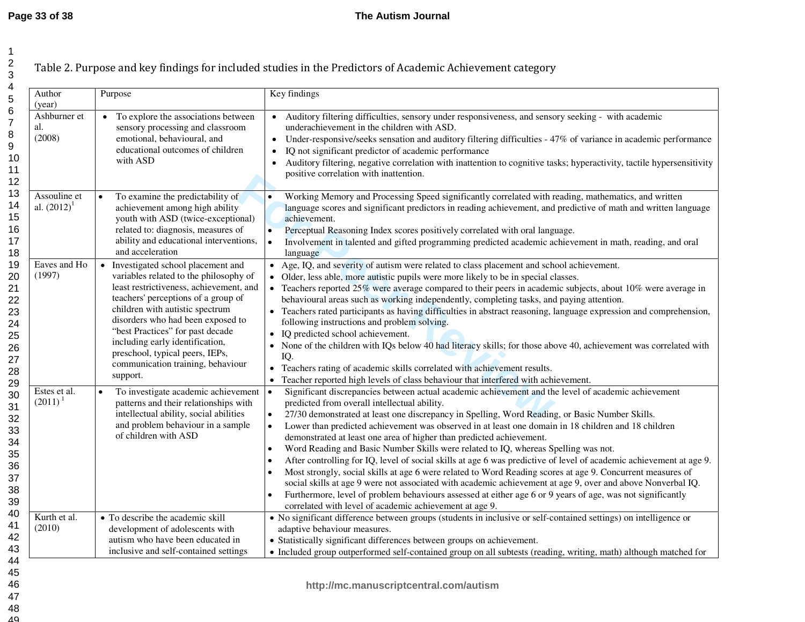## **The Autism Journal**

Table 2. Purpose and key findings for included studies in the Predictors of Academic Achievement category

| Author<br>(year)               | Purpose                                                                                                                                                                                                                                                                                                                                                                                                       | Key findings                                                                                                                                                                                                                                                                                                                                                                                                                                                                                                                                                                                                                                                                                                                                                                                                                                                                                                                                                                                                                                                                                                             |
|--------------------------------|---------------------------------------------------------------------------------------------------------------------------------------------------------------------------------------------------------------------------------------------------------------------------------------------------------------------------------------------------------------------------------------------------------------|--------------------------------------------------------------------------------------------------------------------------------------------------------------------------------------------------------------------------------------------------------------------------------------------------------------------------------------------------------------------------------------------------------------------------------------------------------------------------------------------------------------------------------------------------------------------------------------------------------------------------------------------------------------------------------------------------------------------------------------------------------------------------------------------------------------------------------------------------------------------------------------------------------------------------------------------------------------------------------------------------------------------------------------------------------------------------------------------------------------------------|
| Ashburner et<br>al.<br>(2008)  | • To explore the associations between<br>sensory processing and classroom<br>emotional, behavioural, and<br>educational outcomes of children<br>with ASD                                                                                                                                                                                                                                                      | • Auditory filtering difficulties, sensory under responsiveness, and sensory seeking - with academic<br>underachievement in the children with ASD.<br>Under-responsive/seeks sensation and auditory filtering difficulties - 47% of variance in academic performance<br>$\bullet$<br>IQ not significant predictor of academic performance<br>$\bullet$<br>Auditory filtering, negative correlation with inattention to cognitive tasks; hyperactivity, tactile hypersensitivity<br>$\bullet$<br>positive correlation with inattention.                                                                                                                                                                                                                                                                                                                                                                                                                                                                                                                                                                                   |
| Assouline et<br>al. $(2012)^1$ | To examine the predictability of<br>$\bullet$<br>achievement among high ability<br>youth with ASD (twice-exceptional)<br>related to: diagnosis, measures of<br>ability and educational interventions,<br>and acceleration                                                                                                                                                                                     | Working Memory and Processing Speed significantly correlated with reading, mathematics, and written<br>$\bullet$<br>language scores and significant predictors in reading achievement, and predictive of math and written language<br>achievement.<br>$\ddot{\bullet}$<br>Perceptual Reasoning Index scores positively correlated with oral language.<br>$\bullet$<br>Involvement in talented and gifted programming predicted academic achievement in math, reading, and oral<br>language                                                                                                                                                                                                                                                                                                                                                                                                                                                                                                                                                                                                                               |
| Eaves and Ho<br>(1997)         | Investigated school placement and<br>$\bullet$<br>variables related to the philosophy of<br>least restrictiveness, achievement, and<br>teachers' perceptions of a group of<br>children with autistic spectrum<br>disorders who had been exposed to<br>"best Practices" for past decade<br>including early identification,<br>preschool, typical peers, IEPs,<br>communication training, behaviour<br>support. | Age, IQ, and severity of autism were related to class placement and school achievement.<br>• Older, less able, more autistic pupils were more likely to be in special classes.<br>• Teachers reported 25% were average compared to their peers in academic subjects, about 10% were average in<br>behavioural areas such as working independently, completing tasks, and paying attention.<br>Teachers rated participants as having difficulties in abstract reasoning, language expression and comprehension,<br>following instructions and problem solving.<br>• IQ predicted school achievement.<br>• None of the children with IQs below 40 had literacy skills; for those above 40, achievement was correlated with<br>IQ.<br>Teachers rating of academic skills correlated with achievement results.<br>$\bullet$<br>Teacher reported high levels of class behaviour that interfered with achievement.<br>$\bullet$                                                                                                                                                                                                |
| Estes et al.<br>(2011)         | To investigate academic achievement<br>$\bullet$<br>patterns and their relationships with<br>intellectual ability, social abilities<br>and problem behaviour in a sample<br>of children with ASD                                                                                                                                                                                                              | Significant discrepancies between actual academic achievement and the level of academic achievement<br>$\bullet$<br>predicted from overall intellectual ability.<br>$\bullet$<br>27/30 demonstrated at least one discrepancy in Spelling, Word Reading, or Basic Number Skills.<br>$\bullet$<br>Lower than predicted achievement was observed in at least one domain in 18 children and 18 children<br>demonstrated at least one area of higher than predicted achievement.<br>Word Reading and Basic Number Skills were related to IQ, whereas Spelling was not.<br>$\bullet$<br>After controlling for IQ, level of social skills at age 6 was predictive of level of academic achievement at age 9.<br>$\bullet$<br>Most strongly, social skills at age 6 were related to Word Reading scores at age 9. Concurrent measures of<br>social skills at age 9 were not associated with academic achievement at age 9, over and above Nonverbal IQ.<br>Furthermore, level of problem behaviours assessed at either age 6 or 9 years of age, was not significantly<br>correlated with level of academic achievement at age 9. |
| Kurth et al.<br>(2010)         | • To describe the academic skill<br>development of adolescents with<br>autism who have been educated in<br>inclusive and self-contained settings                                                                                                                                                                                                                                                              | • No significant difference between groups (students in inclusive or self-contained settings) on intelligence or<br>adaptive behaviour measures.<br>• Statistically significant differences between groups on achievement.<br>• Included group outperformed self-contained group on all subtests (reading, writing, math) although matched for                                                                                                                                                                                                                                                                                                                                                                                                                                                                                                                                                                                                                                                                                                                                                                           |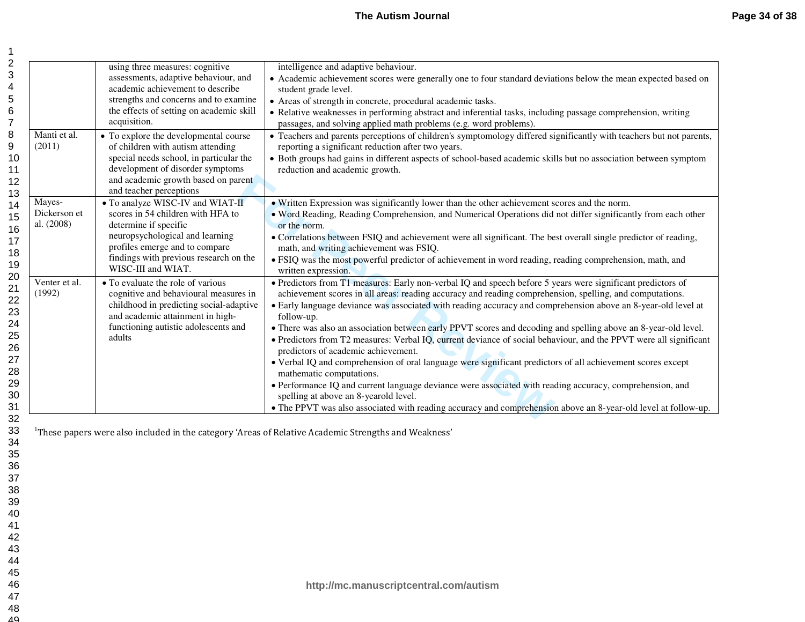|               | using three measures: cognitive<br>assessments, adaptive behaviour, and     | intelligence and adaptive behaviour.<br>• Academic achievement scores were generally one to four standard deviations below the mean expected based on    |
|---------------|-----------------------------------------------------------------------------|----------------------------------------------------------------------------------------------------------------------------------------------------------|
|               | academic achievement to describe                                            | student grade level.                                                                                                                                     |
|               | strengths and concerns and to examine                                       | • Areas of strength in concrete, procedural academic tasks.                                                                                              |
|               | the effects of setting on academic skill                                    | • Relative weaknesses in performing abstract and inferential tasks, including passage comprehension, writing                                             |
|               | acquisition.                                                                | passages, and solving applied math problems (e.g. word problems).                                                                                        |
| Manti et al.  | • To explore the developmental course                                       | • Teachers and parents perceptions of children's symptomology differed significantly with teachers but not parents,                                      |
| (2011)        | of children with autism attending                                           | reporting a significant reduction after two years.                                                                                                       |
|               | special needs school, in particular the<br>development of disorder symptoms | • Both groups had gains in different aspects of school-based academic skills but no association between symptom                                          |
|               | and academic growth based on parent                                         | reduction and academic growth.                                                                                                                           |
|               | and teacher perceptions                                                     |                                                                                                                                                          |
| Mayes-        | • To analyze WISC-IV and WIAT-II                                            | • Written Expression was significantly lower than the other achievement scores and the norm.                                                             |
| Dickerson et  | scores in 54 children with HFA to                                           | • Word Reading, Reading Comprehension, and Numerical Operations did not differ significantly from each other                                             |
| al. $(2008)$  | determine if specific                                                       | or the norm.                                                                                                                                             |
|               | neuropsychological and learning                                             | • Correlations between FSIQ and achievement were all significant. The best overall single predictor of reading,                                          |
|               | profiles emerge and to compare                                              | math, and writing achievement was FSIQ.                                                                                                                  |
|               | findings with previous research on the<br>WISC-III and WIAT.                | • FSIQ was the most powerful predictor of achievement in word reading, reading comprehension, math, and<br>written expression.                           |
| Venter et al. | • To evaluate the role of various                                           | • Predictors from T1 measures: Early non-verbal IQ and speech before 5 years were significant predictors of                                              |
| (1992)        | cognitive and behavioural measures in                                       | achievement scores in all areas: reading accuracy and reading comprehension, spelling, and computations.                                                 |
|               | childhood in predicting social-adaptive                                     | • Early language deviance was associated with reading accuracy and comprehension above an 8-year-old level at                                            |
|               | and academic attainment in high-                                            | follow-up.                                                                                                                                               |
|               | functioning autistic adolescents and                                        | • There was also an association between early PPVT scores and decoding and spelling above an 8-year-old level.                                           |
|               | adults                                                                      | • Predictors from T2 measures: Verbal IQ, current deviance of social behaviour, and the PPVT were all significant<br>predictors of academic achievement. |
|               |                                                                             | • Verbal IQ and comprehension of oral language were significant predictors of all achievement scores except<br>mathematic computations.                  |
|               |                                                                             | • Performance IQ and current language deviance were associated with reading accuracy, comprehension, and<br>spelling at above an 8-yearold level.        |
|               |                                                                             | • The PPVT was also associated with reading accuracy and comprehension above an 8-year-old level at follow-up.                                           |
|               |                                                                             |                                                                                                                                                          |

<sup>1</sup>These papers were also included in the category 'Areas of Relative Academic Strengths and Weakness'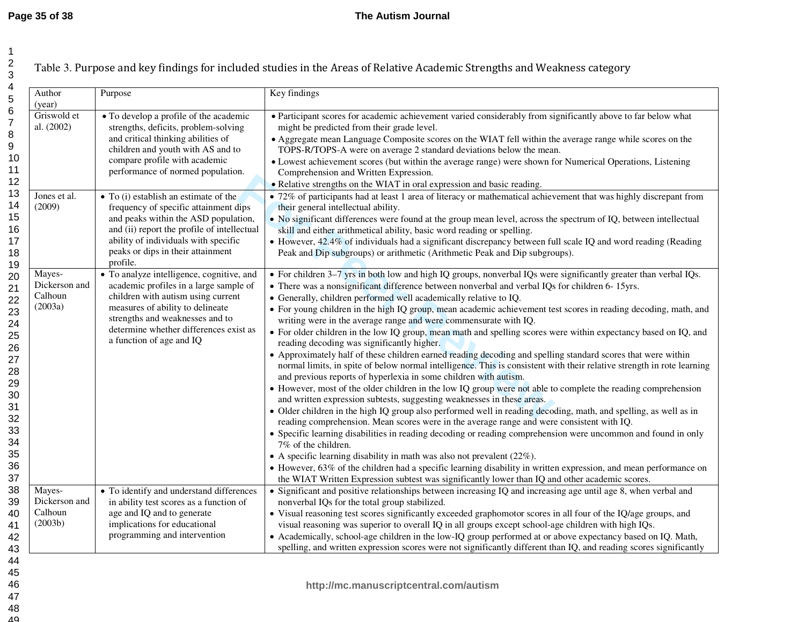## **The Autism Journal**

Table 3. Purpose and key findings for included studies in the Areas of Relative Academic Strengths and Weakness category

| Author<br>(year)                              | Purpose                                                                                                                                                                                                                                                                | Key findings                                                                                                                                                                                                                                                                                                                                                                                                                                                                                                                                                                                                                                                                                                                                                                                                                                                                                                                                                                                                                                                                                                                                                                                                                                                                                                                                                                                                                                                                                                                                                                                                                                                                                                                                                                                                          |
|-----------------------------------------------|------------------------------------------------------------------------------------------------------------------------------------------------------------------------------------------------------------------------------------------------------------------------|-----------------------------------------------------------------------------------------------------------------------------------------------------------------------------------------------------------------------------------------------------------------------------------------------------------------------------------------------------------------------------------------------------------------------------------------------------------------------------------------------------------------------------------------------------------------------------------------------------------------------------------------------------------------------------------------------------------------------------------------------------------------------------------------------------------------------------------------------------------------------------------------------------------------------------------------------------------------------------------------------------------------------------------------------------------------------------------------------------------------------------------------------------------------------------------------------------------------------------------------------------------------------------------------------------------------------------------------------------------------------------------------------------------------------------------------------------------------------------------------------------------------------------------------------------------------------------------------------------------------------------------------------------------------------------------------------------------------------------------------------------------------------------------------------------------------------|
| Griswold et<br>al. (2002)                     | • To develop a profile of the academic<br>strengths, deficits, problem-solving<br>and critical thinking abilities of<br>children and youth with AS and to<br>compare profile with academic<br>performance of normed population.                                        | • Participant scores for academic achievement varied considerably from significantly above to far below what<br>might be predicted from their grade level.<br>• Aggregate mean Language Composite scores on the WIAT fell within the average range while scores on the<br>TOPS-R/TOPS-A were on average 2 standard deviations below the mean.<br>• Lowest achievement scores (but within the average range) were shown for Numerical Operations, Listening<br>Comprehension and Written Expression.<br>• Relative strengths on the WIAT in oral expression and basic reading.                                                                                                                                                                                                                                                                                                                                                                                                                                                                                                                                                                                                                                                                                                                                                                                                                                                                                                                                                                                                                                                                                                                                                                                                                                         |
| Jones et al.<br>(2009)                        | • To (i) establish an estimate of the<br>frequency of specific attainment dips<br>and peaks within the ASD population,<br>and (ii) report the profile of intellectual<br>ability of individuals with specific<br>peaks or dips in their attainment<br>profile.         | • 72% of participants had at least 1 area of literacy or mathematical achievement that was highly discrepant from<br>their general intellectual ability.<br>• No significant differences were found at the group mean level, across the spectrum of IQ, between intellectual<br>skill and either arithmetical ability, basic word reading or spelling.<br>• However, 42.4% of individuals had a significant discrepancy between full scale IQ and word reading (Reading<br>Peak and Dip subgroups) or arithmetic (Arithmetic Peak and Dip subgroups).                                                                                                                                                                                                                                                                                                                                                                                                                                                                                                                                                                                                                                                                                                                                                                                                                                                                                                                                                                                                                                                                                                                                                                                                                                                                 |
| Mayes-<br>Dickerson and<br>Calhoun<br>(2003a) | • To analyze intelligence, cognitive, and<br>academic profiles in a large sample of<br>children with autism using current<br>measures of ability to delineate<br>strengths and weaknesses and to<br>determine whether differences exist as<br>a function of age and IQ | • For children 3-7 yrs in both low and high IQ groups, nonverbal IQs were significantly greater than verbal IQs.<br>• There was a nonsignificant difference between nonverbal and verbal IQs for children 6-15yrs.<br>• Generally, children performed well academically relative to IQ.<br>• For young children in the high IQ group, mean academic achievement test scores in reading decoding, math, and<br>writing were in the average range and were commensurate with IQ.<br>• For older children in the low IQ group, mean math and spelling scores were within expectancy based on IQ, and<br>reading decoding was significantly higher.<br>• Approximately half of these children earned reading decoding and spelling standard scores that were within<br>normal limits, in spite of below normal intelligence. This is consistent with their relative strength in rote learning<br>and previous reports of hyperlexia in some children with autism.<br>• However, most of the older children in the low IQ group were not able to complete the reading comprehension<br>and written expression subtests, suggesting weaknesses in these areas.<br>• Older children in the high IQ group also performed well in reading decoding, math, and spelling, as well as in<br>reading comprehension. Mean scores were in the average range and were consistent with IQ.<br>• Specific learning disabilities in reading decoding or reading comprehension were uncommon and found in only<br>7% of the children.<br>• A specific learning disability in math was also not prevalent $(22\%)$ .<br>• However, 63% of the children had a specific learning disability in written expression, and mean performance on<br>the WIAT Written Expression subtest was significantly lower than IQ and other academic scores. |
| Mayes-<br>Dickerson and<br>Calhoun<br>(2003b) | • To identify and understand differences<br>in ability test scores as a function of<br>age and IQ and to generate<br>implications for educational<br>programming and intervention                                                                                      | • Significant and positive relationships between increasing IQ and increasing age until age 8, when verbal and<br>nonverbal IQs for the total group stabilized.<br>• Visual reasoning test scores significantly exceeded graphomotor scores in all four of the IQ/age groups, and<br>visual reasoning was superior to overall IQ in all groups except school-age children with high IQs.<br>• Academically, school-age children in the low-IQ group performed at or above expectancy based on IQ. Math,<br>spelling, and written expression scores were not significantly different than IQ, and reading scores significantly                                                                                                                                                                                                                                                                                                                                                                                                                                                                                                                                                                                                                                                                                                                                                                                                                                                                                                                                                                                                                                                                                                                                                                                         |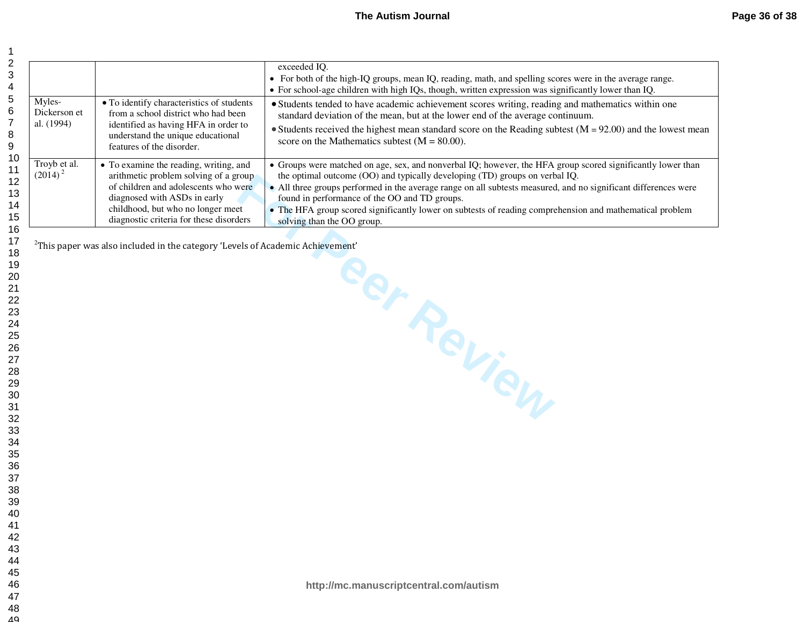| $\overline{c}$<br>3<br>$\overline{\mathbf{4}}$ |                                      |                                                                                                                                                               | exceeded IQ.<br>• For both of the high-IQ groups, mean IQ, reading, math, and spelling scores were in the average range.<br>• For school-age children with high IQs, though, written expression was significantly lower than IQ.                                                                              |
|------------------------------------------------|--------------------------------------|---------------------------------------------------------------------------------------------------------------------------------------------------------------|---------------------------------------------------------------------------------------------------------------------------------------------------------------------------------------------------------------------------------------------------------------------------------------------------------------|
| 5<br>6<br>$\overline{7}$<br>8                  | Myles-<br>Dickerson et<br>al. (1994) | • To identify characteristics of students<br>from a school district who had been<br>identified as having HFA in order to<br>understand the unique educational | • Students tended to have academic achievement scores writing, reading and mathematics within one<br>standard deviation of the mean, but at the lower end of the average continuum.<br>$\bullet$ Students received the highest mean standard score on the Reading subtest ( $M = 92.00$ ) and the lowest mean |
| 9                                              |                                      | features of the disorder.                                                                                                                                     | score on the Mathematics subtest ( $M = 80.00$ ).                                                                                                                                                                                                                                                             |
| 10<br>11<br>12                                 | Troyb et al.<br>$(2014)^2$           | • To examine the reading, writing, and<br>arithmetic problem solving of a group                                                                               | • Groups were matched on age, sex, and nonverbal IQ; however, the HFA group scored significantly lower than<br>the optimal outcome (OO) and typically developing (TD) groups on verbal IQ.                                                                                                                    |
| 13                                             |                                      | of children and adolescents who were<br>diagnosed with ASDs in early                                                                                          | • All three groups performed in the average range on all subtests measured, and no significant differences were<br>found in performance of the OO and TD groups.                                                                                                                                              |
| 14<br>15                                       |                                      | childhood, but who no longer meet                                                                                                                             | • The HFA group scored significantly lower on subtests of reading comprehension and mathematical problem                                                                                                                                                                                                      |
| 16                                             |                                      | diagnostic criteria for these disorders                                                                                                                       | solving than the OO group.                                                                                                                                                                                                                                                                                    |
| 17<br>18                                       |                                      | <sup>2</sup> This paper was also included in the category 'Levels of Academic Achievement'                                                                    | ear Review                                                                                                                                                                                                                                                                                                    |
| 19                                             |                                      |                                                                                                                                                               |                                                                                                                                                                                                                                                                                                               |
| 20<br>21                                       |                                      |                                                                                                                                                               |                                                                                                                                                                                                                                                                                                               |
| 22<br>23                                       |                                      |                                                                                                                                                               |                                                                                                                                                                                                                                                                                                               |
| 24                                             |                                      |                                                                                                                                                               |                                                                                                                                                                                                                                                                                                               |
| 25<br>26                                       |                                      |                                                                                                                                                               |                                                                                                                                                                                                                                                                                                               |
| 27                                             |                                      |                                                                                                                                                               |                                                                                                                                                                                                                                                                                                               |
| 28                                             |                                      |                                                                                                                                                               |                                                                                                                                                                                                                                                                                                               |
| 29<br>30                                       |                                      |                                                                                                                                                               |                                                                                                                                                                                                                                                                                                               |
| 31                                             |                                      |                                                                                                                                                               |                                                                                                                                                                                                                                                                                                               |
| 32                                             |                                      |                                                                                                                                                               |                                                                                                                                                                                                                                                                                                               |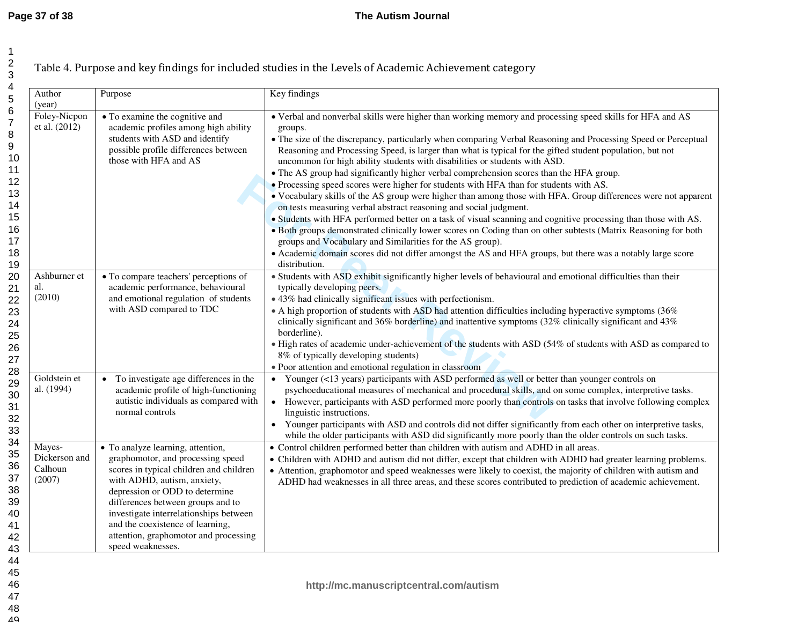Table 4. Purpose and key findings for included studies in the Levels of Academic Achievement category

| Author                                       | Purpose                                                                                                                                                                                                                                                                                                                                                             | Key findings                                                                                                                                                                                                                                                                                                                                                                                                                                                                                                                                                                                                                                                                                                                                                                                                                                                                                                                                                                                                                                                                                                                                                                                                                                 |
|----------------------------------------------|---------------------------------------------------------------------------------------------------------------------------------------------------------------------------------------------------------------------------------------------------------------------------------------------------------------------------------------------------------------------|----------------------------------------------------------------------------------------------------------------------------------------------------------------------------------------------------------------------------------------------------------------------------------------------------------------------------------------------------------------------------------------------------------------------------------------------------------------------------------------------------------------------------------------------------------------------------------------------------------------------------------------------------------------------------------------------------------------------------------------------------------------------------------------------------------------------------------------------------------------------------------------------------------------------------------------------------------------------------------------------------------------------------------------------------------------------------------------------------------------------------------------------------------------------------------------------------------------------------------------------|
| (year)<br>Foley-Nicpon<br>et al. (2012)      | • To examine the cognitive and<br>academic profiles among high ability<br>students with ASD and identify<br>possible profile differences between<br>those with HFA and AS                                                                                                                                                                                           | • Verbal and nonverbal skills were higher than working memory and processing speed skills for HFA and AS<br>groups.<br>• The size of the discrepancy, particularly when comparing Verbal Reasoning and Processing Speed or Perceptual<br>Reasoning and Processing Speed, is larger than what is typical for the gifted student population, but not<br>uncommon for high ability students with disabilities or students with ASD.<br>• The AS group had significantly higher verbal comprehension scores than the HFA group.<br>• Processing speed scores were higher for students with HFA than for students with AS.<br>• Vocabulary skills of the AS group were higher than among those with HFA. Group differences were not apparent<br>on tests measuring verbal abstract reasoning and social judgment.<br>• Students with HFA performed better on a task of visual scanning and cognitive processing than those with AS.<br>• Both groups demonstrated clinically lower scores on Coding than on other subtests (Matrix Reasoning for both<br>groups and Vocabulary and Similarities for the AS group).<br>• Academic domain scores did not differ amongst the AS and HFA groups, but there was a notably large score<br>distribution. |
| Ashburner et<br>al.<br>(2010)                | • To compare teachers' perceptions of<br>academic performance, behavioural<br>and emotional regulation of students<br>with ASD compared to TDC                                                                                                                                                                                                                      | • Students with ASD exhibit significantly higher levels of behavioural and emotional difficulties than their<br>typically developing peers.<br>• 43% had clinically significant issues with perfectionism.<br>• A high proportion of students with ASD had attention difficulties including hyperactive symptoms (36%<br>clinically significant and 36% borderline) and inattentive symptoms (32% clinically significant and 43%<br>borderline).<br>• High rates of academic under-achievement of the students with ASD (54% of students with ASD as compared to<br>8% of typically developing students)<br>• Poor attention and emotional regulation in classroom                                                                                                                                                                                                                                                                                                                                                                                                                                                                                                                                                                           |
| Goldstein et<br>al. (1994)                   | • To investigate age differences in the<br>academic profile of high-functioning<br>autistic individuals as compared with<br>normal controls                                                                                                                                                                                                                         | • Younger (<13 years) participants with ASD performed as well or better than younger controls on<br>psychoeducational measures of mechanical and procedural skills, and on some complex, interpretive tasks.<br>However, participants with ASD performed more poorly than controls on tasks that involve following complex<br>$\bullet$<br>linguistic instructions.<br>• Younger participants with ASD and controls did not differ significantly from each other on interpretive tasks,<br>while the older participants with ASD did significantly more poorly than the older controls on such tasks.                                                                                                                                                                                                                                                                                                                                                                                                                                                                                                                                                                                                                                        |
| Mayes-<br>Dickerson and<br>Calhoun<br>(2007) | • To analyze learning, attention,<br>graphomotor, and processing speed<br>scores in typical children and children<br>with ADHD, autism, anxiety,<br>depression or ODD to determine<br>differences between groups and to<br>investigate interrelationships between<br>and the coexistence of learning,<br>attention, graphomotor and processing<br>speed weaknesses. | • Control children performed better than children with autism and ADHD in all areas.<br>• Children with ADHD and autism did not differ, except that children with ADHD had greater learning problems.<br>• Attention, graphomotor and speed weaknesses were likely to coexist, the majority of children with autism and<br>ADHD had weaknesses in all three areas, and these scores contributed to prediction of academic achievement.                                                                                                                                                                                                                                                                                                                                                                                                                                                                                                                                                                                                                                                                                                                                                                                                       |